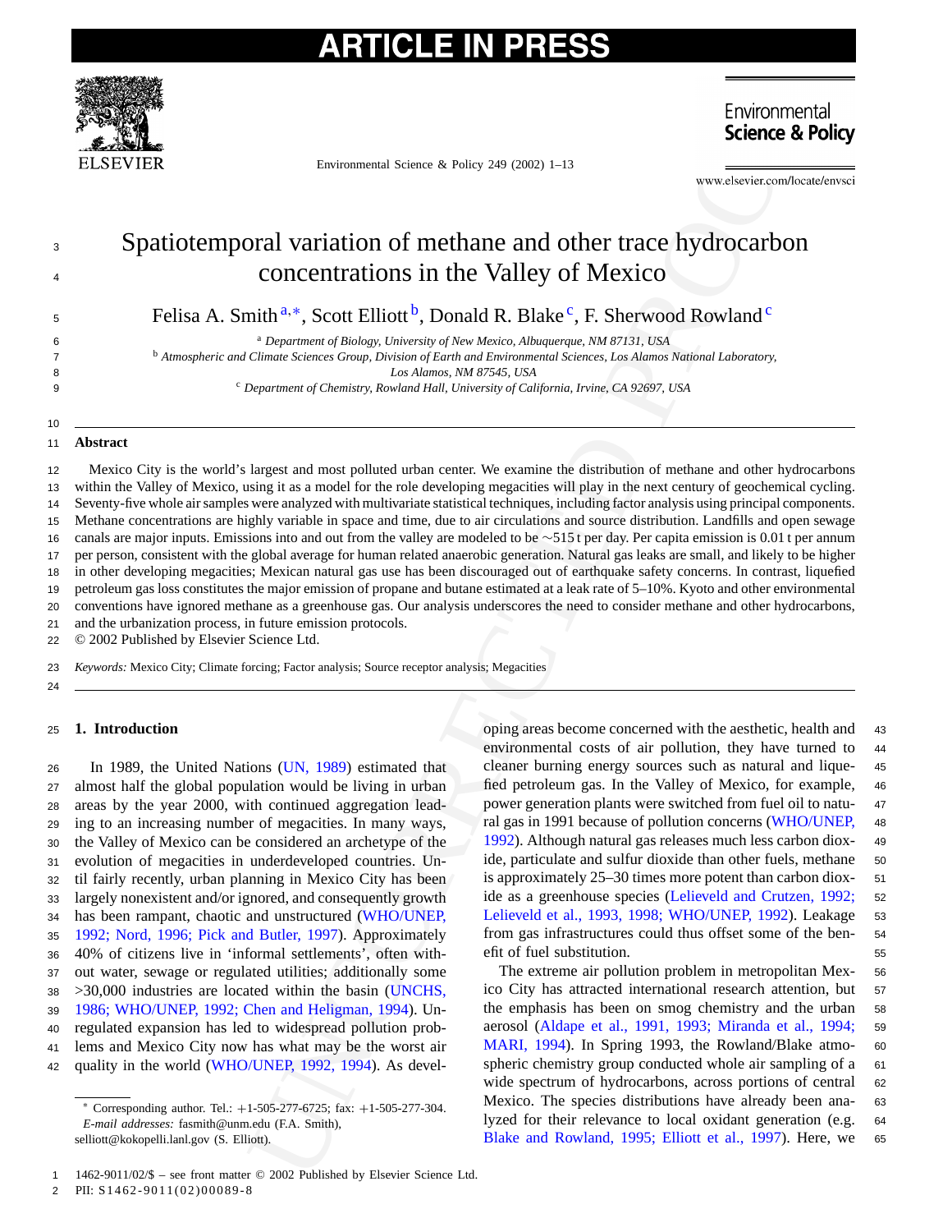# **TICLE IN PRESS**



Environmental Science & Policy 249 (2002) 1–13

## Spatiotemporal variation of methane and other trace hydrocarbon concentrations in the Valley of Mexico

Felisa A. Smith<sup>a,\*</sup>, Scott Elliott<sup>b</sup>, Donald R. Blake<sup>c</sup>, F. Sherwood Rowland<sup>c</sup>

<sup>a</sup> 6 *Department of Biology, University of New Mexico, Albuquerque, NM 87131, USA*

<sup>b</sup> 7 *Atmospheric and Climate Sciences Group, Division of Earth and Environmental Sciences, Los Alamos National Laboratory,*

8 *Los Alamos, NM 87545, USA*

<sup>c</sup> 9 *Department of Chemistry, Rowland Hall, University of California, Irvine, CA 92697, USA*

### 11 **Abstract**

10

3 4

Environmental Science & Policy 249 (2002) + 13<br>
Science & Environmental Science & Policy 249 (2002) + 13<br>
UN[CO](#page-12-0)[R](#page-12-0)RECTED CONCERTRATIONS In the Valley of Mexico C<br>
mith<sup>3</sup><sup>+</sup>, Scott Elliott<sup>b</sup>, Donald R. Blake<sup>cc</sup>, F. Sherwoo Mexico City is the world's largest and most polluted urban center. We examine the distribution of methane and other hydrocarbons within the Valley of Mexico, using it as a model for the role developing megacities will play in the next century of geochemical cycling. Seventy-five whole air samples were analyzed with multivariate statistical techniques, including factor analysis using principal components. Methane concentrations are highly variable in space and time, due to air circulations and source distribution. Landfills and open sewage canals are major inputs. Emissions into and out from the valley are modeled to be ∼515 t per day. Per capita emission is 0.01 t per annum per person, consistent with the global average for human related anaerobic generation. Natural gas leaks are small, and likely to be higher in other developing megacities; Mexican natural gas use has been discouraged out of earthquake safety concerns. In contrast, liquefied petroleum gas loss constitutes the major emission of propane and butane estimated at a leak rate of 5–10%. Kyoto and other environmental conventions have ignored methane as a greenhouse gas. Our analysis underscores the need to consider methane and other hydrocarbons, and the urbanization process, in future emission protocols. 12 13 14 15 16 17 18 19 20 21

22 © 2002 Published by Elsevier Science Ltd.

23 *Keywords:* Mexico City; Climate forcing; Factor analysis; Source receptor analysis; Megacities

24

### <sup>25</sup> **1. Introduction**

 In 1989, the United Nations (UN, 1989) estimated that almost half the global population would be living in urban areas by the year 2000, with continued aggregation lead- ing to an increasing number of megacities. In many ways, the Valley of Mexico can be considered an archetype of the evolution of megacities in underdeveloped countries. Un- til fairly recently, urban planning in Mexico City has been largely nonexistent and/or ignored, and consequently growth has been rampant, chaotic and unstructured (WHO/UNEP, [1992; Nord, 1996; Pick and Butler, 1997\)](#page-12-0). Approximately 40% of citizens live in 'informal settlements', often with- out water, sewage or regulated utilities; additionally some >30,000 industries are located within the basin (UNCHS, [1986; WHO/UNEP, 1992; Chen and Heligman, 1994\).](#page-12-0) Un- regulated expansion has led to widespread pollution prob- lems and Mexico City now has what may be the worst air quality in the world ([WHO/UNEP, 1992, 1994\).](#page-12-0) As developing areas become concerned with the aesthetic, health and <sup>43</sup> environmental costs of air pollution, they have turned to <sup>44</sup> cleaner burning energy sources such as natural and lique- <sup>45</sup> fied petroleum gas. In the Valley of Mexico, for example, <sup>46</sup> power generation plants were switched from fuel oil to natu- <sup>47</sup> ral gas in 1991 because of pollution concerns [\(WHO/UNEP,](#page-12-0) <sup>48</sup> 1992). Although natural gas releases much less carbon diox- <sup>49</sup> ide, particulate and sulfur dioxide than other fuels, methane 50 is approximately 25–30 times more potent than carbon diox- <sup>51</sup> ide as a greenhouse species [\(Lelieveld and Crutzen, 1992;](#page-11-0) <sup>52</sup> Lelieveld et al., 1993, 1998; WHO/UNEP, 1992). Leakage 53 from gas infrastructures could thus offset some of the ben- <sup>54</sup> efit of fuel substitution. 55

The extreme air pollution problem in metropolitan Mex- <sup>56</sup> ico City has attracted international research attention, but <sup>57</sup> the emphasis has been on smog chemistry and the urban <sup>58</sup> aerosol [\(Aldape et al., 1991, 1993; Miranda et al., 1994](#page-11-0); <sup>59</sup> MARI, 1994). In Spring 1993, the Rowland/Blake atmo- <sup>60</sup> spheric chemistry group conducted whole air sampling of a 61 wide spectrum of hydrocarbons, across portions of central 62 Mexico. The species distributions have already been ana- <sup>63</sup> lyzed for their relevance to local oxidant generation (e.g. <sup>64</sup> Blake and Rowland, 1995; Elliott et al., 1997). Here, we <sup>65</sup>

2 PII: S1462-9011(02)00089-8

<sup>∗</sup> Corresponding author. Tel.: +1-505-277-6725; fax: +1-505-277-304. *E-mail addresses:* fasmith@unm.edu (F.A. Smith), selliott@kokopelli.lanl.gov (S. Elliott).

<sup>1</sup> 1462-9011/02/\$ – see front matter © 2002 Published by Elsevier Science Ltd.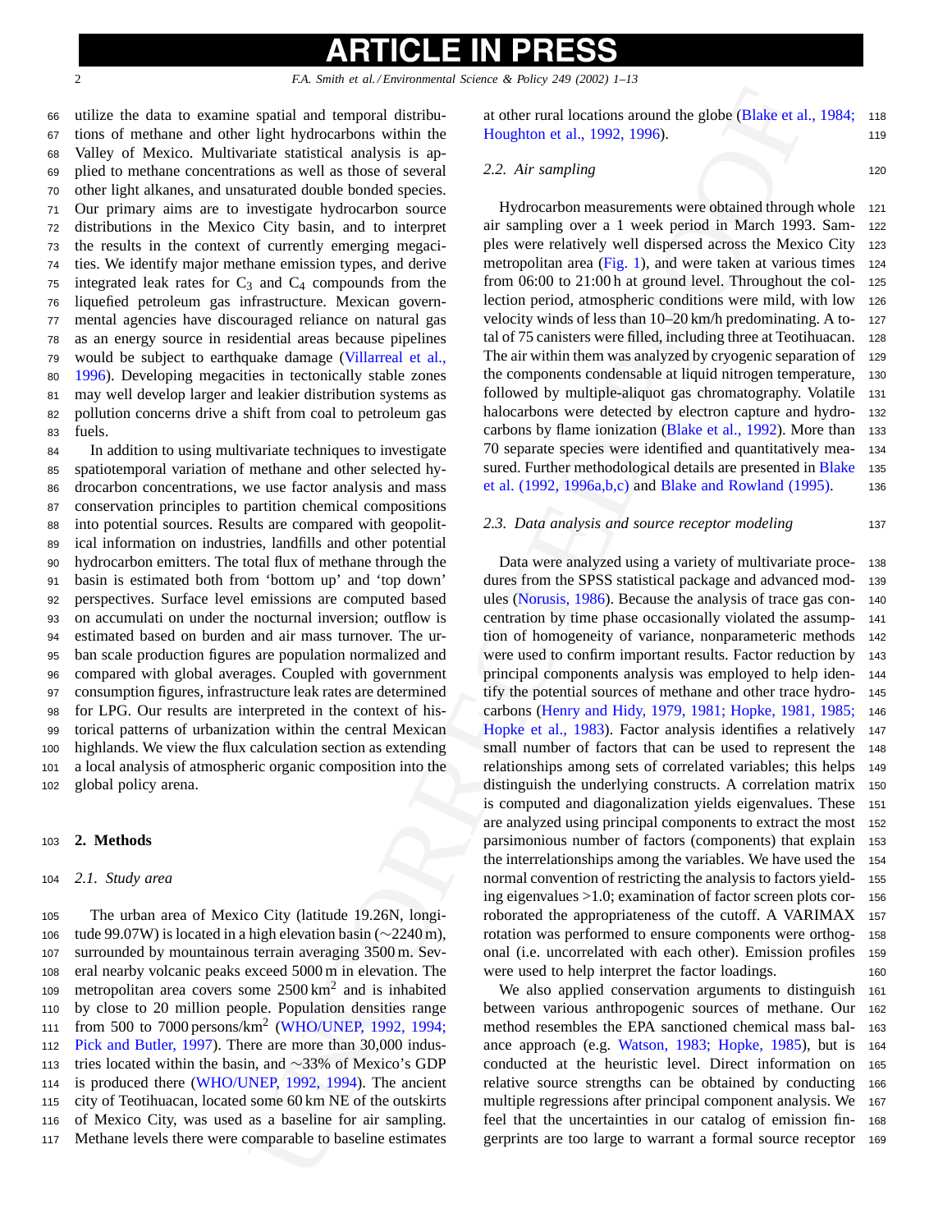# l 201

2 *F.A. Smith et al. / Environmental Science & Policy 249 (2002) 1–13*

 utilize the data to examine spatial and temporal distribu- tions of methane and other light hydrocarbons within the Valley of Mexico. Multivariate statistical analysis is ap- plied to methane concentrations as well as those of several other light alkanes, and unsaturated double bonded species. Our primary aims are to investigate hydrocarbon source distributions in the Mexico City basin, and to interpret the results in the context of currently emerging megaci- ties. We identify major methane emission types, and derive 75 integrated leak rates for  $C_3$  and  $C_4$  compounds from the liquefied petroleum gas infrastructure. Mexican govern- mental agencies have discouraged reliance on natural gas as an energy source in residential areas because pipelines would be subject to earthquake damage (Villarreal et al., [1996\).](#page-12-0) Developing megacities in tectonically stable zones may well develop larger and leakier distribution systems as pollution concerns drive a shift from coal to petroleum gas <sup>83</sup> fuels.

 In addition to using multivariate techniques to investigate spatiotemporal variation of methane and other selected hy- drocarbon concentrations, we use factor analysis and mass conservation principles to partition chemical compositions into potential sources. Results are compared with geopolit- ical information on industries, landfills and other potential hydrocarbon emitters. The total flux of methane through the basin is estimated both from 'bottom up' and 'top down' perspectives. Surface level emissions are computed based on accumulati on under the nocturnal inversion; outflow is estimated based on burden and air mass turnover. The ur- ban scale production figures are population normalized and compared with global averages. Coupled with government consumption figures, infrastructure leak rates are determined for LPG. Our results are interpreted in the context of his- torical patterns of urbanization within the central Mexican highlands. We view the flux calculation section as extending a local analysis of atmospheric organic composition into the global policy arena.

### <sup>103</sup> **2. Methods**

### <sup>104</sup> *2.1. Study area*

 The urban area of Mexico City (latitude 19.26N, longi- tude 99.07W) is located in a high elevation basin (∼2240 m), surrounded by mountainous terrain averaging 3500 m. Sev- eral nearby volcanic peaks exceed 5000 m in elevation. The 109 metropolitan area covers some  $2500 \text{ km}^2$  and is inhabited by close to 20 million people. Population densities range from 500 to 7000 persons/km<sup>2</sup> (WHO/UNEP, 1992, 1994; [Pick and Butler, 1997\).](#page-12-0) There are more than 30,000 indus-113 tries located within the basin, and ∼33% of Mexico's GDP<br>114 is produced there (WHO/UNEP, 1992, 1994). The ancient is produced there [\(WHO/UNEP, 1992, 1994\)](#page-12-0). The ancient city of Teotihuacan, located some 60 km NE of the outskirts of Mexico City, was used as a baseline for air sampling. Methane levels there were comparable to baseline estimates at other rural locations around the globe [\(Blake et al., 1984;](#page-11-0) <sup>118</sup> Houghton et al., 1992, 1996). 119

### *2.2. Air sampling* <sup>120</sup>

Hydrocarbon measurements were obtained through whole <sup>121</sup> air sampling over a 1 week period in March 1993. Sam- <sup>122</sup> ples were relatively well dispersed across the Mexico City <sup>123</sup> metropolitan area  $(Fig. 1)$ , and were taken at various times 124 from 06:00 to 21:00 h at ground level. Throughout the col- <sup>125</sup> lection period, atmospheric conditions were mild, with low <sup>126</sup> velocity winds of less than 10–20 km/h predominating. A to- <sup>127</sup> tal of 75 canisters were filled, including three at Teotihuacan. <sup>128</sup> The air within them was analyzed by cryogenic separation of 129 the components condensable at liquid nitrogen temperature, <sup>130</sup> followed by multiple-aliquot gas chromatography. Volatile <sup>131</sup> halocarbons were detected by electron capture and hydro- <sup>132</sup> carbons by flame ionization (Blake et al., 1992). More than <sup>133</sup> 70 separate species were identified and quantitatively mea- <sup>134</sup> sured. Further methodological details are presented in [Blake](#page-11-0) 135 et al. (1992, 1996a,b,c) and [Blake and Rowland \(1995\).](#page-11-0) <sup>136</sup>

### *2.3. Data analysis and source receptor modeling* <sup>137</sup>

s qualit and temporal distribution at other rural boatinius around the globe (Blake et al ingle hydroxidons within the 1002, 1996).<br> [T](#page-12-0)his hydroxidon site allows the following the flux in the statistical analysis is a phon Data were analyzed using a variety of multivariate proce- <sup>138</sup> dures from the SPSS statistical package and advanced mod- <sup>139</sup> ules (Norusis, 1986). Because the analysis of trace gas con- <sup>140</sup> centration by time phase occasionally violated the assump- <sup>141</sup> tion of homogeneity of variance, nonparameteric methods <sup>142</sup> were used to confirm important results. Factor reduction by 143 principal components analysis was employed to help iden- <sup>144</sup> tify the potential sources of methane and other trace hydro- <sup>145</sup> carbons [\(Henry and Hidy, 1979, 1981; Hopke, 1981, 1985;](#page-11-0) <sup>146</sup> Hopke et al., 1983). Factor analysis identifies a relatively <sup>147</sup> small number of factors that can be used to represent the 148 relationships among sets of correlated variables; this helps <sup>149</sup> distinguish the underlying constructs. A correlation matrix <sup>150</sup> is computed and diagonalization yields eigenvalues. These <sup>151</sup> are analyzed using principal components to extract the most <sup>152</sup> parsimonious number of factors (components) that explain <sup>153</sup> the interrelationships among the variables. We have used the <sup>154</sup> normal convention of restricting the analysis to factors yield- <sup>155</sup> ing eigenvalues >1.0; examination of factor screen plots cor- <sup>156</sup> roborated the appropriateness of the cutoff. A VARIMAX <sup>157</sup> rotation was performed to ensure components were orthog- <sup>158</sup> onal (i.e. uncorrelated with each other). Emission profiles <sup>159</sup> were used to help interpret the factor loadings. 160

We also applied conservation arguments to distinguish <sup>161</sup> between various anthropogenic sources of methane. Our <sup>162</sup> method resembles the EPA sanctioned chemical mass bal- <sup>163</sup> ance approach (e.g. Watson, 1983; Hopke, 1985), but is <sup>164</sup> conducted at the heuristic level. Direct information on <sup>165</sup> relative source strengths can be obtained by conducting <sup>166</sup> multiple regressions after principal component analysis. We <sup>167</sup> feel that the uncertainties in our catalog of emission fin- <sup>168</sup> gerprints are too large to warrant a formal source receptor <sup>169</sup>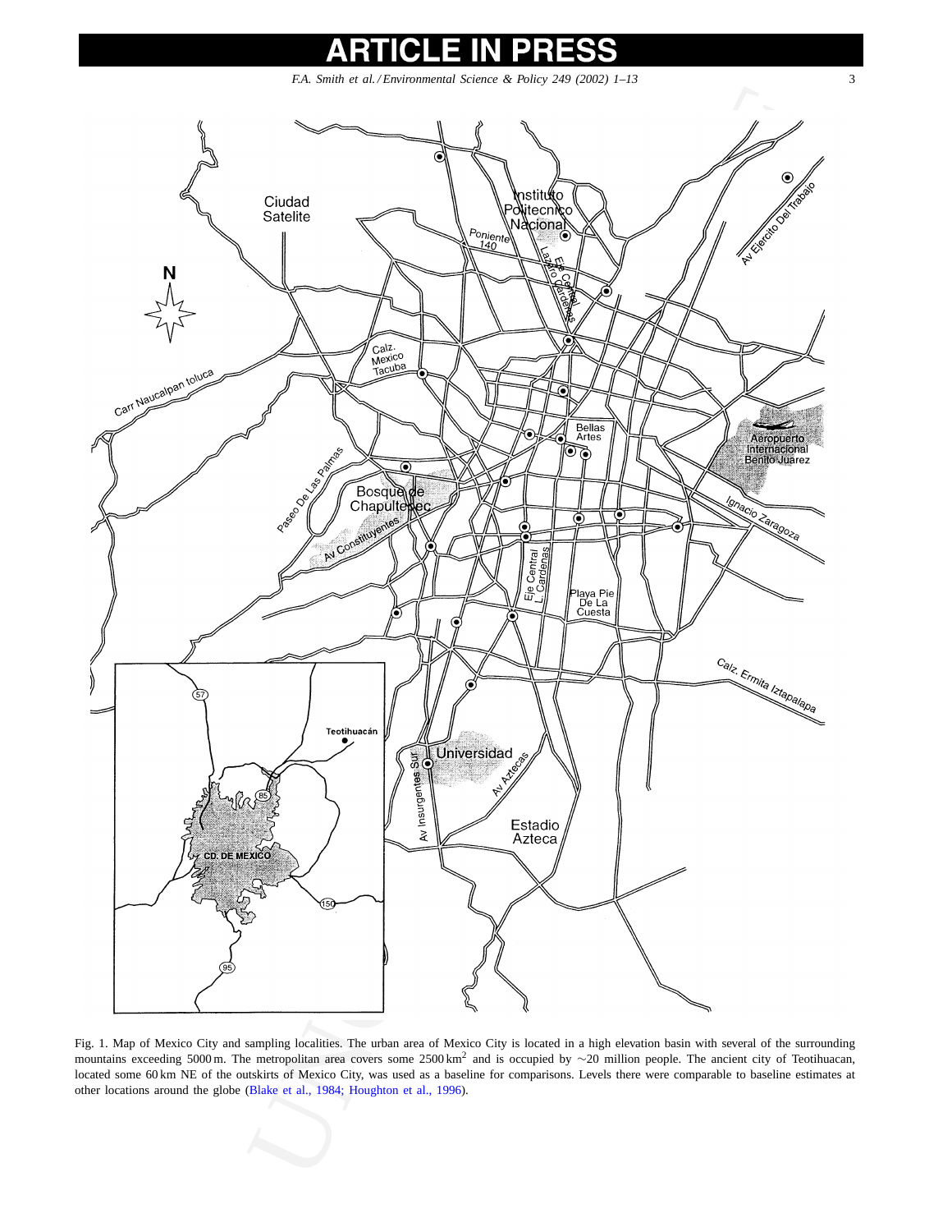<span id="page-2-0"></span>

Fig. 1. Map of Mexico City and sampling localities. The urban area of Mexico City is located in a high elevation basin with several of the surrounding mountains exceeding 5000 m. The metropolitan area covers some 2500 km<sup>2</sup> and is occupied by ∼20 million people. The ancient city of Teotihuacan, located some 60 km NE of the outskirts of Mexico City, was used as a baseline for comparisons. Levels there were comparable to baseline estimates at other locations around the globe (Blake et al., 1984; Houghton et al., 1996).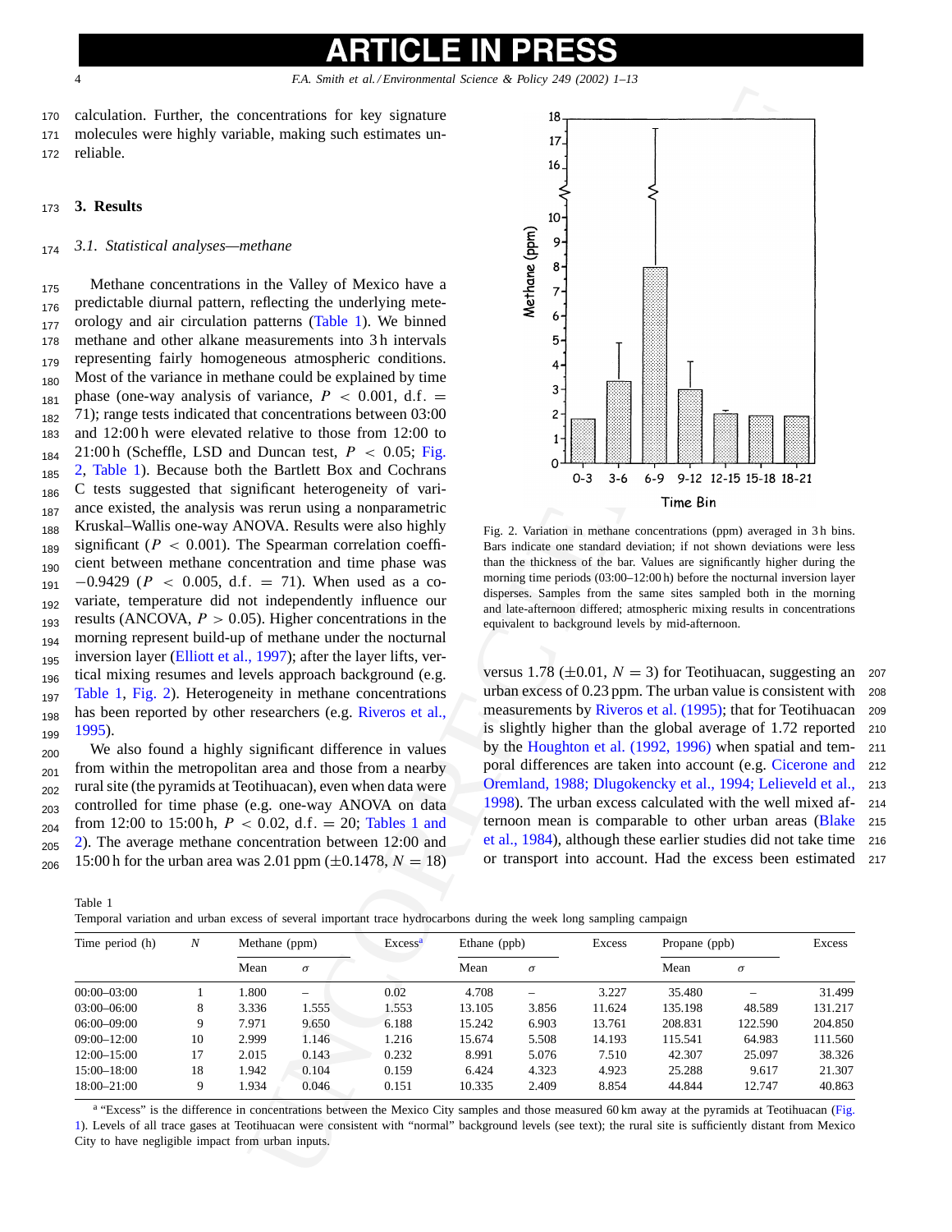<span id="page-3-0"></span>

<sup>170</sup> calculation. Further, the concentrations for key signature <sup>171</sup> molecules were highly variable, making such estimates un-<sup>172</sup> reliable.

### <sup>173</sup> **3. Results**

### <sup>174</sup> *3.1. Statistical analyses—methane*

175 Methane concentrations in the Valley of Mexico have a 176 predictable diurnal pattern, reflecting the underlying mete-<sub>177</sub> orology and air circulation patterns (Table 1). We binned <sup>178</sup> methane and other alkane measurements into 3 h intervals <sub>179</sub> representing fairly homogeneous atmospheric conditions. <sub>180</sub> Most of the variance in methane could be explained by time  $_{181}$  phase (one-way analysis of variance,  $P < 0.001$ , d.f. = <sub>182</sub> 71); range tests indicated that concentrations between 03:00 <sup>183</sup> and 12:00 h were elevated relative to those from 12:00 to  $_{184}$  21:00 h (Scheffle, LSD and Duncan test,  $P < 0.05$ ; Fig. 185 2, Table 1). Because both the Bartlett Box and Cochrans <sub>186</sub> C tests suggested that significant heterogeneity of vari-187 ance existed, the analysis was rerun using a nonparametric <sub>188</sub> Kruskal–Wallis one-way ANOVA. Results were also highly  $_{189}$  significant ( $P < 0.001$ ). The Spearman correlation coeffi-<sub>190</sub> cient between methane concentration and time phase was  $191 -0.9429$  ( $P < 0.005$ , d.f. = 71). When used as a co-192 variate, temperature did not independently influence our  $_{193}$  results (ANCOVA,  $P > 0.05$ ). Higher concentrations in the <sub>194</sub> morning represent build-up of methane under the nocturnal <sub>195</sub> inversion layer ([Elliott et al., 1997\);](#page-11-0) after the layer lifts, ver- $_{196}$  tical mixing resumes and levels approach background (e.g. <sub>197</sub> Table 1, Fig. 2). Heterogeneity in methane concentrations <sub>198</sub> has been reported by other researchers (e.g. Riveros et al., <sup>199</sup> [1995\).](#page-12-0)

 $_{200}$  We also found a highly significant difference in values  $_{201}$  from within the metropolitan area and those from a nearby <sup>202</sup> rural site (the pyramids at Teotihuacan), even when data were <sup>203</sup> controlled for time phase (e.g. one-way ANOVA on data  $_{204}$  from 12:00 to 15:00 h,  $P < 0.02$ , d.f. = 20; Tables 1 and <sup>205</sup> 2). The average methane concentration between 12:00 and  $_{206}$  15:00 h for the urban area was 2.01 ppm ( $\pm$ 0.1478,  $N = 18$ )



Fig. 2. Variation in methane concentrations (ppm) averaged in 3 h bins. Bars indicate one standard deviation; if not shown deviations were less than the thickness of the bar. Values are significantly higher during the morning time periods (03:00–12:00 h) before the nocturnal inversion layer disperses. Samples from the same sites sampled both in the morning and late-afternoon differed; atmospheric mixing results in concentrations equivalent to background levels by mid-afternoon.

versus 1.78 ( $\pm 0.01$ ,  $N = 3$ ) for Teotihuacan, suggesting an 207 urban excess of 0.23 ppm. The urban value is consistent with 208 urban excess of  $0.23$  ppm. The urban value is consistent with measurements by Riveros et al. (1995); that for Teotihuacan 209 is slightly higher than the global average of 1.72 reported <sup>210</sup> by the Houghton et al. (1992, 1996) when spatial and tem- <sup>211</sup> poral differences are taken into account (e.g. [Cicerone and](#page-11-0) <sup>212</sup> [Oremland, 1988; Dlugokencky et al., 1994; Lelieveld et al.,](#page-11-0) <sup>213</sup> 1998). The urban excess calculated with the well mixed af- <sup>214</sup> ternoon mean is comparable to other urban areas [\(Blake](#page-11-0) <sup>215</sup> et al., 1984), although these earlier studies did not take time <sup>216</sup> or transport into account. Had the excess been estimated <sup>217</sup>

Table 1

Temporal variation and urban excess of several important trace hydrocarbons during the week long sampling campaign

| Time period (h) | $\boldsymbol{N}$ | Methane (ppm) |                          | Excess <sup>a</sup> | Ethane (ppb) |          | <b>Excess</b> | Propane (ppb) |          | Excess  |
|-----------------|------------------|---------------|--------------------------|---------------------|--------------|----------|---------------|---------------|----------|---------|
|                 |                  | Mean          | $\sigma$                 |                     | Mean         | $\sigma$ |               | Mean          | $\sigma$ |         |
| $00:00-03:00$   |                  | 1.800         | $\overline{\phantom{0}}$ | 0.02                | 4.708        |          | 3.227         | 35.480        |          | 31.499  |
| $03:00 - 06:00$ | 8                | 3.336         | 1.555                    | 1.553               | 13.105       | 3.856    | 11.624        | 135.198       | 48.589   | 131.217 |
| $06:00 - 09:00$ | Q                | 7.971         | 9.650                    | 6.188               | 15.242       | 6.903    | 13.761        | 208.831       | 122.590  | 204.850 |
| $09:00 - 12:00$ | 10               | 2.999         | 1.146                    | 1.216               | 15.674       | 5.508    | 14.193        | 115.541       | 64.983   | 111.560 |
| $12:00 - 15:00$ | 17               | 2.015         | 0.143                    | 0.232               | 8.991        | 5.076    | 7.510         | 42.307        | 25.097   | 38.326  |
| $15:00 - 18:00$ | 18               | 1.942         | 0.104                    | 0.159               | 6.424        | 4.323    | 4.923         | 25.288        | 9.617    | 21.307  |
| $18:00 - 21:00$ | 9                | 1.934         | 0.046                    | 0.151               | 10.335       | 2.409    | 8.854         | 44.844        | 12.747   | 40.863  |

<sup>a</sup> "Excess" is the difference in concentrations between the Mexico City samples and those measured 60 km away at the pyramids at Teotihuacan ([Fig.](#page-2-0) 1). Levels of all trace gases at Teotihuacan were consistent with "normal" background levels (see text); the rural site is sufficiently distant from Mexico City to have negligible impact from urban inputs.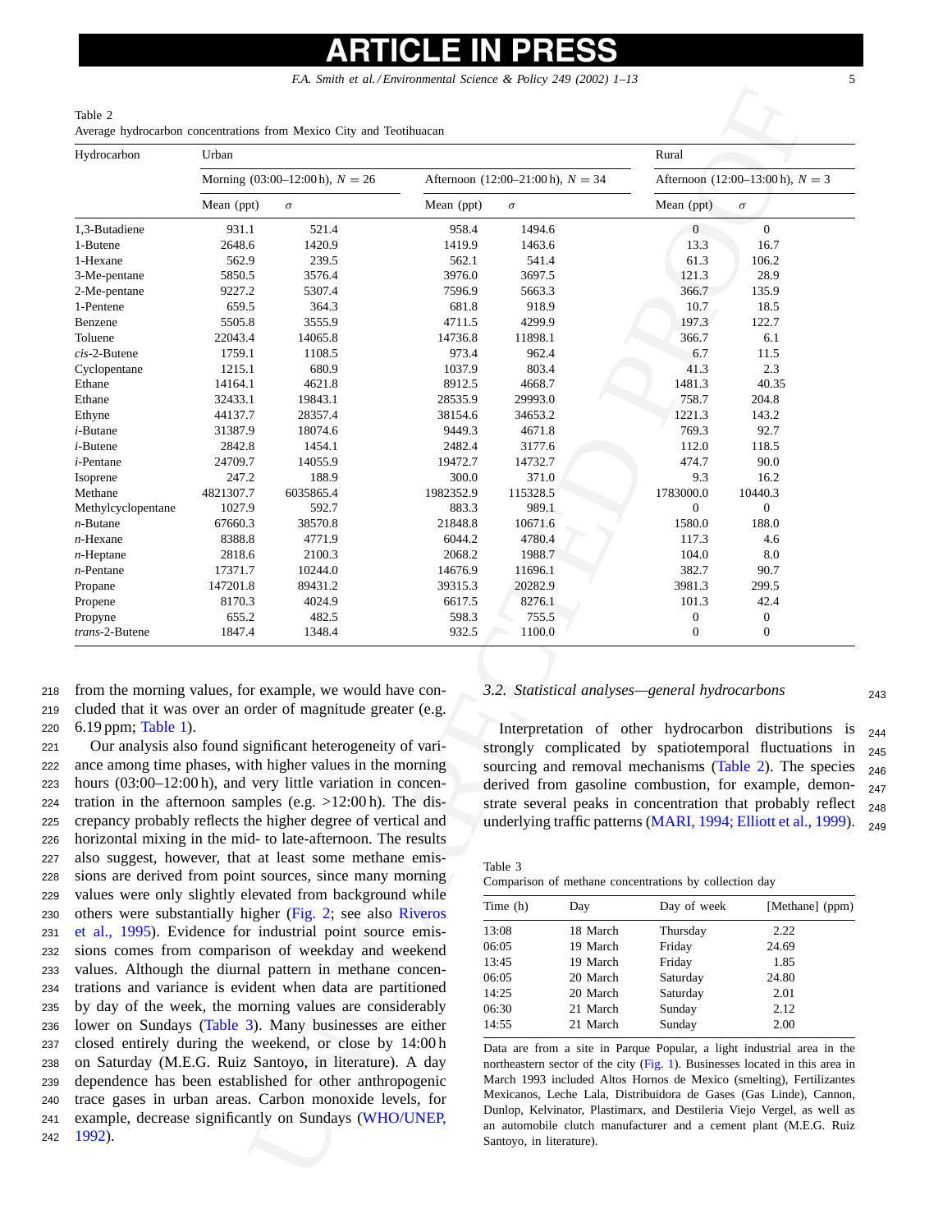### Table 2 Average hydrocarbon concentrations from Mexico City and Teotihuacan

<span id="page-4-0"></span>

| Hydrocarbon               | Urban                                                      |                                                                                                                                                                                                                                                                                                                                                                                                                                                       |                   |                                                                                                                                                                                                                                                                                                                                                                                                                                                                                  | Rural    |                                                        |                                                                                                                                                                                                                                                                                                                                                                     |  |  |
|---------------------------|------------------------------------------------------------|-------------------------------------------------------------------------------------------------------------------------------------------------------------------------------------------------------------------------------------------------------------------------------------------------------------------------------------------------------------------------------------------------------------------------------------------------------|-------------------|----------------------------------------------------------------------------------------------------------------------------------------------------------------------------------------------------------------------------------------------------------------------------------------------------------------------------------------------------------------------------------------------------------------------------------------------------------------------------------|----------|--------------------------------------------------------|---------------------------------------------------------------------------------------------------------------------------------------------------------------------------------------------------------------------------------------------------------------------------------------------------------------------------------------------------------------------|--|--|
|                           |                                                            | Morning $(03:00-12:00 h)$ , $N = 26$                                                                                                                                                                                                                                                                                                                                                                                                                  |                   | Afternoon (12:00-21:00 h), $N = 34$                                                                                                                                                                                                                                                                                                                                                                                                                                              |          |                                                        | Afternoon (12:00–13:00 h), $N = 3$                                                                                                                                                                                                                                                                                                                                  |  |  |
|                           | Mean (ppt)                                                 | $\sigma$                                                                                                                                                                                                                                                                                                                                                                                                                                              | Mean (ppt)        | $\sigma$                                                                                                                                                                                                                                                                                                                                                                                                                                                                         |          | Mean (ppt)                                             | $\sigma$                                                                                                                                                                                                                                                                                                                                                            |  |  |
| 1,3-Butadiene             | 931.1                                                      | 521.4                                                                                                                                                                                                                                                                                                                                                                                                                                                 | 958.4             | 1494.6                                                                                                                                                                                                                                                                                                                                                                                                                                                                           |          | $\boldsymbol{0}$                                       | $\boldsymbol{0}$                                                                                                                                                                                                                                                                                                                                                    |  |  |
| 1-Butene                  | 2648.6                                                     | 1420.9                                                                                                                                                                                                                                                                                                                                                                                                                                                | 1419.9            | 1463.6                                                                                                                                                                                                                                                                                                                                                                                                                                                                           |          | 13.3                                                   | 16.7                                                                                                                                                                                                                                                                                                                                                                |  |  |
| 1-Hexane                  | 562.9                                                      | 239.5                                                                                                                                                                                                                                                                                                                                                                                                                                                 | 562.1             | 541.4                                                                                                                                                                                                                                                                                                                                                                                                                                                                            |          | 61.3                                                   | 106.2                                                                                                                                                                                                                                                                                                                                                               |  |  |
| 3-Me-pentane              | 5850.5                                                     | 3576.4                                                                                                                                                                                                                                                                                                                                                                                                                                                | 3976.0            | 3697.5                                                                                                                                                                                                                                                                                                                                                                                                                                                                           |          | 121.3                                                  | 28.9                                                                                                                                                                                                                                                                                                                                                                |  |  |
| 2-Me-pentane              | 9227.2                                                     | 5307.4                                                                                                                                                                                                                                                                                                                                                                                                                                                | 7596.9            | 5663.3                                                                                                                                                                                                                                                                                                                                                                                                                                                                           |          | 366.7                                                  | 135.9                                                                                                                                                                                                                                                                                                                                                               |  |  |
| 1-Pentene                 | 659.5                                                      | 364.3                                                                                                                                                                                                                                                                                                                                                                                                                                                 | 681.8             | 918.9                                                                                                                                                                                                                                                                                                                                                                                                                                                                            |          | 10.7                                                   | 18.5                                                                                                                                                                                                                                                                                                                                                                |  |  |
| Benzene<br>Toluene        | 5505.8<br>22043.4                                          | 3555.9<br>14065.8                                                                                                                                                                                                                                                                                                                                                                                                                                     | 4711.5<br>14736.8 | 4299.9<br>11898.1                                                                                                                                                                                                                                                                                                                                                                                                                                                                |          | 197.3<br>366.7                                         | 122.7<br>6.1                                                                                                                                                                                                                                                                                                                                                        |  |  |
| $cis-2$ -Butene           | 1759.1                                                     | 1108.5                                                                                                                                                                                                                                                                                                                                                                                                                                                | 973.4             | 962.4                                                                                                                                                                                                                                                                                                                                                                                                                                                                            |          | 6.7                                                    | 11.5                                                                                                                                                                                                                                                                                                                                                                |  |  |
| Cyclopentane              | 1215.1                                                     | 680.9                                                                                                                                                                                                                                                                                                                                                                                                                                                 | 1037.9            | 803.4                                                                                                                                                                                                                                                                                                                                                                                                                                                                            |          | 41.3                                                   | 2.3                                                                                                                                                                                                                                                                                                                                                                 |  |  |
| Ethane                    | 14164.1                                                    | 4621.8                                                                                                                                                                                                                                                                                                                                                                                                                                                | 8912.5            | 4668.7                                                                                                                                                                                                                                                                                                                                                                                                                                                                           |          | 1481.3                                                 | 40.35                                                                                                                                                                                                                                                                                                                                                               |  |  |
| Ethane                    | 32433.1                                                    | 19843.1                                                                                                                                                                                                                                                                                                                                                                                                                                               | 28535.9           | 29993.0                                                                                                                                                                                                                                                                                                                                                                                                                                                                          |          | 758.7                                                  | 204.8                                                                                                                                                                                                                                                                                                                                                               |  |  |
| Ethyne                    | 44137.7                                                    | 28357.4                                                                                                                                                                                                                                                                                                                                                                                                                                               | 38154.6           | 34653.2                                                                                                                                                                                                                                                                                                                                                                                                                                                                          |          | 1221.3                                                 | 143.2                                                                                                                                                                                                                                                                                                                                                               |  |  |
| $i$ -Butane               | 31387.9                                                    | 18074.6                                                                                                                                                                                                                                                                                                                                                                                                                                               | 9449.3            | 4671.8                                                                                                                                                                                                                                                                                                                                                                                                                                                                           |          | 769.3                                                  | 92.7                                                                                                                                                                                                                                                                                                                                                                |  |  |
| $i$ -Butene               | 2842.8                                                     | 1454.1                                                                                                                                                                                                                                                                                                                                                                                                                                                | 2482.4            | 3177.6                                                                                                                                                                                                                                                                                                                                                                                                                                                                           |          | 112.0                                                  | 118.5                                                                                                                                                                                                                                                                                                                                                               |  |  |
| <i>i</i> -Pentane         | 24709.7                                                    | 14055.9                                                                                                                                                                                                                                                                                                                                                                                                                                               | 19472.7           | 14732.7                                                                                                                                                                                                                                                                                                                                                                                                                                                                          |          | 474.7                                                  | 90.0                                                                                                                                                                                                                                                                                                                                                                |  |  |
| Isoprene                  | 247.2                                                      | 188.9                                                                                                                                                                                                                                                                                                                                                                                                                                                 | 300.0             | 371.0                                                                                                                                                                                                                                                                                                                                                                                                                                                                            |          | 9.3                                                    | 16.2                                                                                                                                                                                                                                                                                                                                                                |  |  |
| Methane                   | 4821307.7                                                  | 6035865.4                                                                                                                                                                                                                                                                                                                                                                                                                                             | 1982352.9         | 115328.5                                                                                                                                                                                                                                                                                                                                                                                                                                                                         |          | 1783000.0                                              | 10440.3                                                                                                                                                                                                                                                                                                                                                             |  |  |
| Methylcyclopentane        | 1027.9                                                     | 592.7                                                                                                                                                                                                                                                                                                                                                                                                                                                 | 883.3             | 989.1                                                                                                                                                                                                                                                                                                                                                                                                                                                                            |          | 0                                                      | 0                                                                                                                                                                                                                                                                                                                                                                   |  |  |
| $n$ -Butane               | 67660.3                                                    | 38570.8                                                                                                                                                                                                                                                                                                                                                                                                                                               | 21848.8           | 10671.6                                                                                                                                                                                                                                                                                                                                                                                                                                                                          |          | 1580.0                                                 | 188.0                                                                                                                                                                                                                                                                                                                                                               |  |  |
| $n$ -Hexane               | 8388.8                                                     | 4771.9                                                                                                                                                                                                                                                                                                                                                                                                                                                | 6044.2            | 4780.4                                                                                                                                                                                                                                                                                                                                                                                                                                                                           |          | 117.3                                                  | 4.6                                                                                                                                                                                                                                                                                                                                                                 |  |  |
| $n$ -Heptane              | 2818.6                                                     | 2100.3                                                                                                                                                                                                                                                                                                                                                                                                                                                | 2068.2            | 1988.7                                                                                                                                                                                                                                                                                                                                                                                                                                                                           |          | 104.0                                                  | 8.0                                                                                                                                                                                                                                                                                                                                                                 |  |  |
| $n$ -Pentane              | 17371.7                                                    | 10244.0                                                                                                                                                                                                                                                                                                                                                                                                                                               | 14676.9           | 11696.1                                                                                                                                                                                                                                                                                                                                                                                                                                                                          |          | 382.7                                                  | 90.7                                                                                                                                                                                                                                                                                                                                                                |  |  |
| Propane                   | 147201.8                                                   | 89431.2                                                                                                                                                                                                                                                                                                                                                                                                                                               | 39315.3           | 20282.9                                                                                                                                                                                                                                                                                                                                                                                                                                                                          |          | 3981.3                                                 | 299.5                                                                                                                                                                                                                                                                                                                                                               |  |  |
| Propene                   | 8170.3                                                     | 4024.9                                                                                                                                                                                                                                                                                                                                                                                                                                                | 6617.5            | 8276.1                                                                                                                                                                                                                                                                                                                                                                                                                                                                           |          | 101.3                                                  | 42.4                                                                                                                                                                                                                                                                                                                                                                |  |  |
| Propyne<br>trans-2-Butene | 655.2<br>1847.4                                            | 482.5<br>1348.4                                                                                                                                                                                                                                                                                                                                                                                                                                       | 598.3<br>932.5    | 755.5<br>1100.0                                                                                                                                                                                                                                                                                                                                                                                                                                                                  |          | 0<br>$\boldsymbol{0}$                                  | 0<br>0                                                                                                                                                                                                                                                                                                                                                              |  |  |
| 6.19 ppm; Table 1).       |                                                            | cluded that it was over an order of magnitude greater (e.g.<br>Our analysis also found significant heterogeneity of vari-<br>ance among time phases, with higher values in the morning<br>hours (03:00-12:00 h), and very little variation in concen-<br>tration in the afternoon samples (e.g. $>12:00$ h). The dis-<br>crepancy probably reflects the higher degree of vertical and<br>horizontal mixing in the mid- to late-afternoon. The results |                   |                                                                                                                                                                                                                                                                                                                                                                                                                                                                                  |          |                                                        | Interpretation of other hydrocarbon distributions is<br>strongly complicated by spatiotemporal fluctuations in<br>sourcing and removal mechanisms (Table 2). The species<br>derived from gasoline combustion, for example, demon-<br>strate several peaks in concentration that probably reflect<br>underlying traffic patterns (MARI, 1994; Elliott et al., 1999). |  |  |
|                           |                                                            | also suggest, however, that at least some methane emis-<br>sions are derived from point sources, since many morning                                                                                                                                                                                                                                                                                                                                   |                   | Table 3                                                                                                                                                                                                                                                                                                                                                                                                                                                                          |          |                                                        |                                                                                                                                                                                                                                                                                                                                                                     |  |  |
|                           |                                                            | values were only slightly elevated from background while                                                                                                                                                                                                                                                                                                                                                                                              |                   |                                                                                                                                                                                                                                                                                                                                                                                                                                                                                  |          | Comparison of methane concentrations by collection day |                                                                                                                                                                                                                                                                                                                                                                     |  |  |
|                           |                                                            | others were substantially higher (Fig. 2; see also Riveros                                                                                                                                                                                                                                                                                                                                                                                            |                   | Time (h)                                                                                                                                                                                                                                                                                                                                                                                                                                                                         | Day      | Day of week                                            | [Methane] (ppm)                                                                                                                                                                                                                                                                                                                                                     |  |  |
|                           |                                                            | et al., 1995). Evidence for industrial point source emis-                                                                                                                                                                                                                                                                                                                                                                                             |                   | 13:08                                                                                                                                                                                                                                                                                                                                                                                                                                                                            | 18 March | Thursday                                               | 2.22                                                                                                                                                                                                                                                                                                                                                                |  |  |
|                           |                                                            | sions comes from comparison of weekday and weekend                                                                                                                                                                                                                                                                                                                                                                                                    |                   | 06:05                                                                                                                                                                                                                                                                                                                                                                                                                                                                            | 19 March | Friday                                                 | 24.69                                                                                                                                                                                                                                                                                                                                                               |  |  |
|                           |                                                            | values. Although the diurnal pattern in methane concen-                                                                                                                                                                                                                                                                                                                                                                                               |                   | 13:45                                                                                                                                                                                                                                                                                                                                                                                                                                                                            | 19 March | Friday                                                 | 1.85                                                                                                                                                                                                                                                                                                                                                                |  |  |
|                           |                                                            | 06:05                                                                                                                                                                                                                                                                                                                                                                                                                                                 | 20 March          | Saturday                                                                                                                                                                                                                                                                                                                                                                                                                                                                         | 24.80    |                                                        |                                                                                                                                                                                                                                                                                                                                                                     |  |  |
|                           | trations and variance is evident when data are partitioned |                                                                                                                                                                                                                                                                                                                                                                                                                                                       | 14:25             | 20 March                                                                                                                                                                                                                                                                                                                                                                                                                                                                         | Saturday | 2.01                                                   |                                                                                                                                                                                                                                                                                                                                                                     |  |  |
|                           | by day of the week, the morning values are considerably    |                                                                                                                                                                                                                                                                                                                                                                                                                                                       | 06:30             | 21 March                                                                                                                                                                                                                                                                                                                                                                                                                                                                         | Sunday   | 2.12                                                   |                                                                                                                                                                                                                                                                                                                                                                     |  |  |
|                           |                                                            | lower on Sundays (Table 3). Many businesses are either                                                                                                                                                                                                                                                                                                                                                                                                |                   | 14:55                                                                                                                                                                                                                                                                                                                                                                                                                                                                            | 21 March | Sunday                                                 | 2.00                                                                                                                                                                                                                                                                                                                                                                |  |  |
|                           |                                                            | closed entirely during the weekend, or close by 14:00h<br>on Saturday (M.E.G. Ruiz Santoyo, in literature). A day<br>dependence has been established for other anthropogenic<br>trace gases in urban areas. Carbon monoxide levels, for                                                                                                                                                                                                               |                   | Data are from a site in Parque Popular, a light industrial area in the<br>northeastern sector of the city (Fig. 1). Businesses located in this area in<br>March 1993 included Altos Hornos de Mexico (smelting), Fertilizantes<br>Mexicanos, Leche Lala, Distribuidora de Gases (Gas Linde), Cannon,<br>Dunlop, Kelvinator, Plastimarx, and Destileria Viejo Vergel, as well as<br>an automobile clutch manufacturer and a cement plant (M.E.G. Ruiz<br>Santoyo, in literature). |          |                                                        |                                                                                                                                                                                                                                                                                                                                                                     |  |  |

<sup>218</sup> from the morning values, for example, we would have con-<sup>219</sup> cluded that it was over an order of magnitude greater (e.g. <sup>220</sup> 6.19 ppm; [Table 1\).](#page-3-0)

 Our analysis also found significant heterogeneity of vari- ance among time phases, with higher values in the morning hours (03:00–12:00 h), and very little variation in concen- tration in the afternoon samples (e.g. >12:00 h). The dis- crepancy probably reflects the higher degree of vertical and horizontal mixing in the mid- to late-afternoon. The results also suggest, however, that at least some methane emis- sions are derived from point sources, since many morning values were only slightly elevated from background while others were substantially higher (Fig. 2; see also Riveros [et al., 1995\)](#page-12-0). Evidence for industrial point source emis- sions comes from comparison of weekday and weekend values. Although the diurnal pattern in methane concen- trations and variance is evident when data are partitioned by day of the week, the morning values are considerably lower on Sundays (Table 3). Many businesses are either closed entirely during the weekend, or close by 14:00 h on Saturday (M.E.G. Ruiz Santoyo, in literature). A day dependence has been established for other anthropogenic trace gases in urban areas. Carbon monoxide levels, for example, decrease significantly on Sundays (WHO/UNEP, <sup>242</sup> [1992\).](#page-12-0)

### *3.2. Statistical analyses—general hydrocarbons* <sup>243</sup>

Interpretation of other hydrocarbon distributions is  $_{244}$ strongly complicated by spatiotemporal fluctuations in  $_{245}$ sourcing and removal mechanisms (Table 2). The species  $_{246}$ derived from gasoline combustion, for example, demon- $_{247}$ strate several peaks in concentration that probably reflect  $_{248}$ underlying traffic patterns ([MARI, 1994; Elliott et al., 1999\).](#page-11-0)  $_{249}$ 

Table 3 Comparison of methane concentrations by collection day

| Time (h) | Day      | Day of week | [Methane] (ppm) |
|----------|----------|-------------|-----------------|
| 13:08    | 18 March | Thursday    | 2.22            |
| 06:05    | 19 March | Friday      | 24.69           |
| 13:45    | 19 March | Friday      | 1.85            |
| 06:05    | 20 March | Saturday    | 24.80           |
| 14:25    | 20 March | Saturday    | 2.01            |
| 06:30    | 21 March | Sunday      | 2.12            |
| 14:55    | 21 March | Sunday      | 2.00            |
|          |          |             |                 |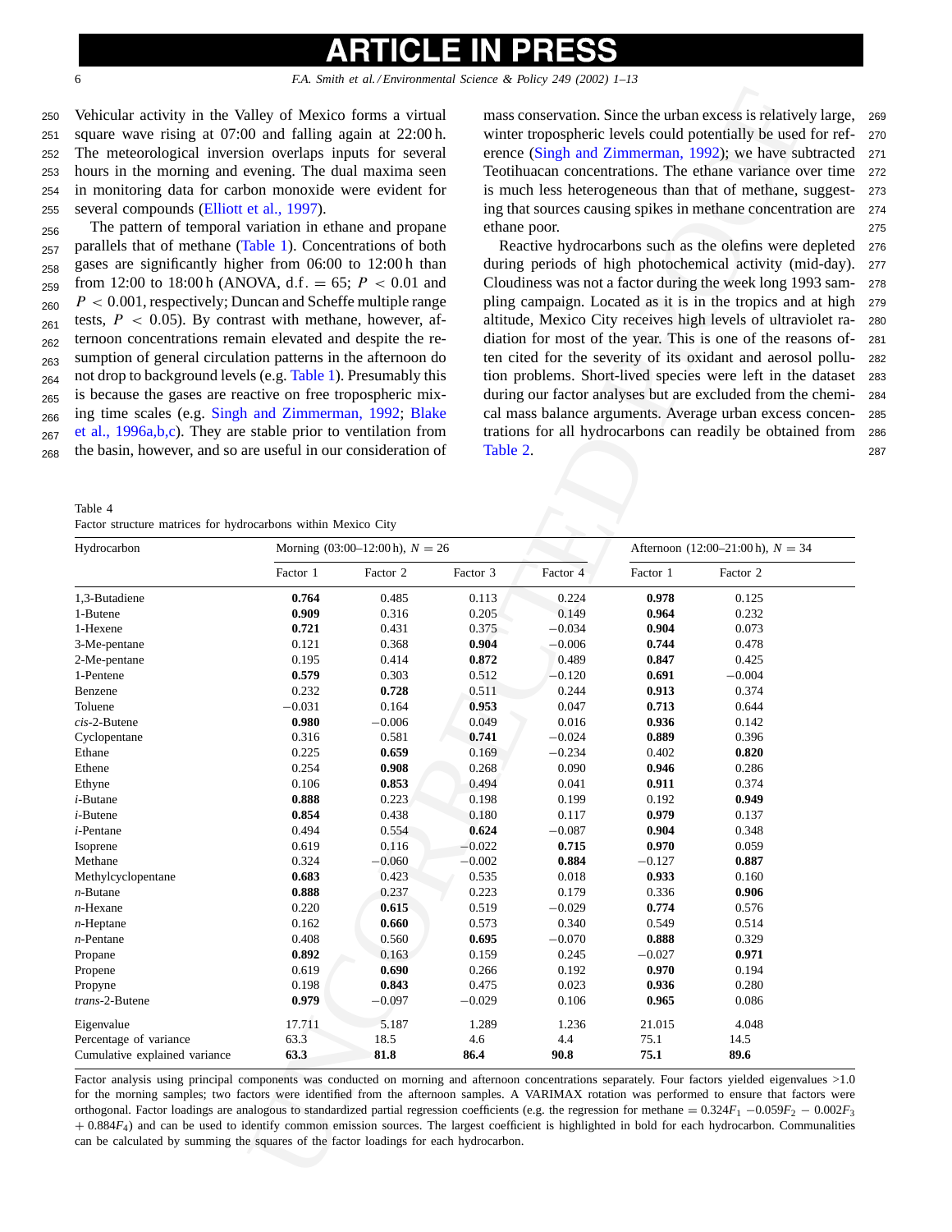<span id="page-5-0"></span>

 Vehicular activity in the Valley of Mexico forms a virtual square wave rising at 07:00 and falling again at 22:00 h. The meteorological inversion overlaps inputs for several hours in the morning and evening. The dual maxima seen in monitoring data for carbon monoxide were evident for several compounds [\(Elliott et al., 1997\).](#page-11-0)

<sup>256</sup> The pattern of temporal variation in ethane and propane <sub>257</sub> parallels that of methane [\(Table 1\).](#page-3-0) Concentrations of both <sup>258</sup> gases are significantly higher from 06:00 to 12:00 h than  $_{259}$  from 12:00 to 18:00 h (ANOVA, d.f. = 65;  $P < 0.01$  and  $P < 0.001$ , respectively; Duncan and Scheffe multiple range z<sub>61</sub> tests,  $P < 0.05$ ). By contrast with methane, however, af-<sub>262</sub> ternoon concentrations remain elevated and despite the re-<sup>263</sup> sumption of general circulation patterns in the afternoon do  $_{264}$  not drop to background levels (e.g. Table 1). Presumably this is because the gases are reactive on free tropospheric mix- <sup>265</sup> <sub>266</sub> ing time scales (e.g. [Singh and Zimmerman, 1992;](#page-12-0) Blake <sup>267</sup> [et al., 1996a,b,c\).](#page-11-0) They are stable prior to ventilation from <sup>268</sup> the basin, however, and so are useful in our consideration of

Table 4 Factor structure matrices for hydrocarbons within Mexico City

mass conservation. Since the urban excess is relatively large, <sup>269</sup> winter tropospheric levels could potentially be used for ref- <sup>270</sup> erence (Singh and Zimmerman, 1992); we have subtracted <sup>271</sup> Teotihuacan concentrations. The ethane variance over time <sup>272</sup> is much less heterogeneous than that of methane, suggest- <sup>273</sup> ing that sources causing spikes in methane concentration are <sup>274</sup> ethane poor. <sup>275</sup>

Reactive hydrocarbons such as the olefins were depleted <sup>276</sup> during periods of high photochemical activity (mid-day). <sup>277</sup> Cloudiness was not a factor during the week long 1993 sam- <sup>278</sup> pling campaign. Located as it is in the tropics and at high <sup>279</sup> altitude, Mexico City receives high levels of ultraviolet ra- <sup>280</sup> diation for most of the year. This is one of the reasons of- <sup>281</sup> ten cited for the severity of its oxidant and aerosol pollu- <sup>282</sup> tion problems. Short-lived species were left in the dataset <sup>283</sup> during our factor analyses but are excluded from the chemi- <sup>284</sup> cal mass balance arguments. Average urban excess concen- <sup>285</sup> trations for all hydrocarbons can readily be obtained from <sup>286</sup> Table 2. 287

| Vehicular activity in the Valley of Mexico forms a virtual<br>square wave rising at 07:00 and falling again at 22:00 h.<br>The meteorological inversion overlaps inputs for several<br>hours in the morning and evening. The dual maxima seen<br>in monitoring data for carbon monoxide were evident for<br>several compounds (Elliott et al., 1997).<br>The pattern of temporal variation in ethane and propane<br>parallels that of methane (Table 1). Concentrations of both<br>gases are significantly higher from 06:00 to 12:00h than<br>from 12:00 to 18:00 h (ANOVA, d.f. = 65; $P < 0.01$ and<br>$P < 0.001$ , respectively; Duncan and Scheffe multiple range<br>tests, $P$ < 0.05). By contrast with methane, however, af-<br>ternoon concentrations remain elevated and despite the re-<br>sumption of general circulation patterns in the afternoon do<br>not drop to background levels (e.g. Table 1). Presumably this<br>is because the gases are reactive on free tropospheric mix-<br>ing time scales (e.g. Singh and Zimmerman, 1992; Blake<br>et al., 1996a,b,c). They are stable prior to ventilation from<br>the basin, however, and so are useful in our consideration of<br>Table 4 |                |                                      | Table 2.       | ethane poor.   |                                     | mass conservation. Since the urban excess is relatively large,<br>winter tropospheric levels could potentially be used for ref-<br>erence (Singh and Zimmerman, 1992); we have subtracted<br>Teotihuacan concentrations. The ethane variance over time<br>is much less heterogeneous than that of methane, suggest-<br>ing that sources causing spikes in methane concentration are<br>Reactive hydrocarbons such as the olefins were depleted<br>during periods of high photochemical activity (mid-day).<br>Cloudiness was not a factor during the week long 1993 sam-<br>pling campaign. Located as it is in the tropics and at high<br>altitude, Mexico City receives high levels of ultraviolet ra-<br>diation for most of the year. This is one of the reasons of-<br>ten cited for the severity of its oxidant and aerosol pollu-<br>tion problems. Short-lived species were left in the dataset<br>during our factor analyses but are excluded from the chemi-<br>cal mass balance arguments. Average urban excess concen-<br>trations for all hydrocarbons can readily be obtained from |  |
|------------------------------------------------------------------------------------------------------------------------------------------------------------------------------------------------------------------------------------------------------------------------------------------------------------------------------------------------------------------------------------------------------------------------------------------------------------------------------------------------------------------------------------------------------------------------------------------------------------------------------------------------------------------------------------------------------------------------------------------------------------------------------------------------------------------------------------------------------------------------------------------------------------------------------------------------------------------------------------------------------------------------------------------------------------------------------------------------------------------------------------------------------------------------------------------------------------|----------------|--------------------------------------|----------------|----------------|-------------------------------------|--------------------------------------------------------------------------------------------------------------------------------------------------------------------------------------------------------------------------------------------------------------------------------------------------------------------------------------------------------------------------------------------------------------------------------------------------------------------------------------------------------------------------------------------------------------------------------------------------------------------------------------------------------------------------------------------------------------------------------------------------------------------------------------------------------------------------------------------------------------------------------------------------------------------------------------------------------------------------------------------------------------------------------------------------------------------------------------------------|--|
| Factor structure matrices for hydrocarbons within Mexico City                                                                                                                                                                                                                                                                                                                                                                                                                                                                                                                                                                                                                                                                                                                                                                                                                                                                                                                                                                                                                                                                                                                                              |                |                                      |                |                |                                     |                                                                                                                                                                                                                                                                                                                                                                                                                                                                                                                                                                                                                                                                                                                                                                                                                                                                                                                                                                                                                                                                                                  |  |
| Hydrocarbon                                                                                                                                                                                                                                                                                                                                                                                                                                                                                                                                                                                                                                                                                                                                                                                                                                                                                                                                                                                                                                                                                                                                                                                                |                | Morning $(03:00-12:00 h)$ , $N = 26$ |                |                | Afternoon (12:00–21:00 h), $N = 34$ |                                                                                                                                                                                                                                                                                                                                                                                                                                                                                                                                                                                                                                                                                                                                                                                                                                                                                                                                                                                                                                                                                                  |  |
|                                                                                                                                                                                                                                                                                                                                                                                                                                                                                                                                                                                                                                                                                                                                                                                                                                                                                                                                                                                                                                                                                                                                                                                                            | Factor 1       | Factor 2                             | Factor 3       | Factor 4       | Factor 1                            | Factor 2                                                                                                                                                                                                                                                                                                                                                                                                                                                                                                                                                                                                                                                                                                                                                                                                                                                                                                                                                                                                                                                                                         |  |
| 1,3-Butadiene                                                                                                                                                                                                                                                                                                                                                                                                                                                                                                                                                                                                                                                                                                                                                                                                                                                                                                                                                                                                                                                                                                                                                                                              | 0.764          | 0.485                                | 0.113          | 0.224          | 0.978                               | 0.125                                                                                                                                                                                                                                                                                                                                                                                                                                                                                                                                                                                                                                                                                                                                                                                                                                                                                                                                                                                                                                                                                            |  |
| 1-Butene                                                                                                                                                                                                                                                                                                                                                                                                                                                                                                                                                                                                                                                                                                                                                                                                                                                                                                                                                                                                                                                                                                                                                                                                   | 0.909          | 0.316                                | 0.205          | 0.149          | 0.964                               | 0.232                                                                                                                                                                                                                                                                                                                                                                                                                                                                                                                                                                                                                                                                                                                                                                                                                                                                                                                                                                                                                                                                                            |  |
| 1-Hexene                                                                                                                                                                                                                                                                                                                                                                                                                                                                                                                                                                                                                                                                                                                                                                                                                                                                                                                                                                                                                                                                                                                                                                                                   | 0.721          | 0.431                                | 0.375          | $-0.034$       | 0.904                               | 0.073                                                                                                                                                                                                                                                                                                                                                                                                                                                                                                                                                                                                                                                                                                                                                                                                                                                                                                                                                                                                                                                                                            |  |
| 3-Me-pentane                                                                                                                                                                                                                                                                                                                                                                                                                                                                                                                                                                                                                                                                                                                                                                                                                                                                                                                                                                                                                                                                                                                                                                                               | 0.121          | 0.368                                | 0.904          | $-0.006$       | 0.744                               | 0.478                                                                                                                                                                                                                                                                                                                                                                                                                                                                                                                                                                                                                                                                                                                                                                                                                                                                                                                                                                                                                                                                                            |  |
| 2-Me-pentane                                                                                                                                                                                                                                                                                                                                                                                                                                                                                                                                                                                                                                                                                                                                                                                                                                                                                                                                                                                                                                                                                                                                                                                               | 0.195          | 0.414                                | 0.872          | 0.489          | 0.847                               | 0.425                                                                                                                                                                                                                                                                                                                                                                                                                                                                                                                                                                                                                                                                                                                                                                                                                                                                                                                                                                                                                                                                                            |  |
| 1-Pentene<br>Benzene                                                                                                                                                                                                                                                                                                                                                                                                                                                                                                                                                                                                                                                                                                                                                                                                                                                                                                                                                                                                                                                                                                                                                                                       | 0.579<br>0.232 | 0.303                                | 0.512<br>0.511 | $-0.120$       | 0.691<br>0.913                      | $-0.004$                                                                                                                                                                                                                                                                                                                                                                                                                                                                                                                                                                                                                                                                                                                                                                                                                                                                                                                                                                                                                                                                                         |  |
| Toluene                                                                                                                                                                                                                                                                                                                                                                                                                                                                                                                                                                                                                                                                                                                                                                                                                                                                                                                                                                                                                                                                                                                                                                                                    | $-0.031$       | 0.728<br>0.164                       | 0.953          | 0.244<br>0.047 | 0.713                               | 0.374<br>0.644                                                                                                                                                                                                                                                                                                                                                                                                                                                                                                                                                                                                                                                                                                                                                                                                                                                                                                                                                                                                                                                                                   |  |
| $cis$ -2-Butene                                                                                                                                                                                                                                                                                                                                                                                                                                                                                                                                                                                                                                                                                                                                                                                                                                                                                                                                                                                                                                                                                                                                                                                            | 0.980          | $-0.006$                             | 0.049          | 0.016          | 0.936                               | 0.142                                                                                                                                                                                                                                                                                                                                                                                                                                                                                                                                                                                                                                                                                                                                                                                                                                                                                                                                                                                                                                                                                            |  |
| Cyclopentane                                                                                                                                                                                                                                                                                                                                                                                                                                                                                                                                                                                                                                                                                                                                                                                                                                                                                                                                                                                                                                                                                                                                                                                               | 0.316          | 0.581                                | 0.741          | $-0.024$       | 0.889                               | 0.396                                                                                                                                                                                                                                                                                                                                                                                                                                                                                                                                                                                                                                                                                                                                                                                                                                                                                                                                                                                                                                                                                            |  |
| Ethane                                                                                                                                                                                                                                                                                                                                                                                                                                                                                                                                                                                                                                                                                                                                                                                                                                                                                                                                                                                                                                                                                                                                                                                                     | 0.225          | 0.659                                | 0.169          | $-0.234$       | 0.402                               | 0.820                                                                                                                                                                                                                                                                                                                                                                                                                                                                                                                                                                                                                                                                                                                                                                                                                                                                                                                                                                                                                                                                                            |  |
| Ethene                                                                                                                                                                                                                                                                                                                                                                                                                                                                                                                                                                                                                                                                                                                                                                                                                                                                                                                                                                                                                                                                                                                                                                                                     | 0.254          | 0.908                                | 0.268          | 0.090          | 0.946                               | 0.286                                                                                                                                                                                                                                                                                                                                                                                                                                                                                                                                                                                                                                                                                                                                                                                                                                                                                                                                                                                                                                                                                            |  |
| Ethyne                                                                                                                                                                                                                                                                                                                                                                                                                                                                                                                                                                                                                                                                                                                                                                                                                                                                                                                                                                                                                                                                                                                                                                                                     | 0.106          | 0.853                                | 0.494          | 0.041          | 0.911                               | 0.374                                                                                                                                                                                                                                                                                                                                                                                                                                                                                                                                                                                                                                                                                                                                                                                                                                                                                                                                                                                                                                                                                            |  |
| $i$ -Butane                                                                                                                                                                                                                                                                                                                                                                                                                                                                                                                                                                                                                                                                                                                                                                                                                                                                                                                                                                                                                                                                                                                                                                                                | 0.888          | 0.223                                | 0.198          | 0.199          | 0.192                               | 0.949                                                                                                                                                                                                                                                                                                                                                                                                                                                                                                                                                                                                                                                                                                                                                                                                                                                                                                                                                                                                                                                                                            |  |
| $i$ -Butene                                                                                                                                                                                                                                                                                                                                                                                                                                                                                                                                                                                                                                                                                                                                                                                                                                                                                                                                                                                                                                                                                                                                                                                                | 0.854          | 0.438                                | 0.180          | 0.117          | 0.979                               | 0.137                                                                                                                                                                                                                                                                                                                                                                                                                                                                                                                                                                                                                                                                                                                                                                                                                                                                                                                                                                                                                                                                                            |  |
| $i$ -Pentane                                                                                                                                                                                                                                                                                                                                                                                                                                                                                                                                                                                                                                                                                                                                                                                                                                                                                                                                                                                                                                                                                                                                                                                               | 0.494          | 0.554                                | 0.624          | $-0.087$       | 0.904                               | 0.348                                                                                                                                                                                                                                                                                                                                                                                                                                                                                                                                                                                                                                                                                                                                                                                                                                                                                                                                                                                                                                                                                            |  |
| Isoprene                                                                                                                                                                                                                                                                                                                                                                                                                                                                                                                                                                                                                                                                                                                                                                                                                                                                                                                                                                                                                                                                                                                                                                                                   | 0.619          | 0.116                                | $-0.022$       | 0.715          | 0.970                               | 0.059                                                                                                                                                                                                                                                                                                                                                                                                                                                                                                                                                                                                                                                                                                                                                                                                                                                                                                                                                                                                                                                                                            |  |
| Methane                                                                                                                                                                                                                                                                                                                                                                                                                                                                                                                                                                                                                                                                                                                                                                                                                                                                                                                                                                                                                                                                                                                                                                                                    | 0.324          | $-0.060$                             | $-0.002$       | 0.884          | $-0.127$                            | 0.887                                                                                                                                                                                                                                                                                                                                                                                                                                                                                                                                                                                                                                                                                                                                                                                                                                                                                                                                                                                                                                                                                            |  |
| Methylcyclopentane                                                                                                                                                                                                                                                                                                                                                                                                                                                                                                                                                                                                                                                                                                                                                                                                                                                                                                                                                                                                                                                                                                                                                                                         | 0.683          | 0.423                                | 0.535          | 0.018          | 0.933                               | 0.160                                                                                                                                                                                                                                                                                                                                                                                                                                                                                                                                                                                                                                                                                                                                                                                                                                                                                                                                                                                                                                                                                            |  |
| $n$ -Butane                                                                                                                                                                                                                                                                                                                                                                                                                                                                                                                                                                                                                                                                                                                                                                                                                                                                                                                                                                                                                                                                                                                                                                                                | 0.888          | 0.237                                | 0.223          | 0.179          | 0.336                               | 0.906                                                                                                                                                                                                                                                                                                                                                                                                                                                                                                                                                                                                                                                                                                                                                                                                                                                                                                                                                                                                                                                                                            |  |
| $n$ -Hexane                                                                                                                                                                                                                                                                                                                                                                                                                                                                                                                                                                                                                                                                                                                                                                                                                                                                                                                                                                                                                                                                                                                                                                                                | 0.220          | 0.615                                | 0.519          | $-0.029$       | 0.774                               | 0.576                                                                                                                                                                                                                                                                                                                                                                                                                                                                                                                                                                                                                                                                                                                                                                                                                                                                                                                                                                                                                                                                                            |  |
| $n$ -Heptane                                                                                                                                                                                                                                                                                                                                                                                                                                                                                                                                                                                                                                                                                                                                                                                                                                                                                                                                                                                                                                                                                                                                                                                               | 0.162          | 0.660                                | 0.573          | 0.340          | 0.549                               | 0.514                                                                                                                                                                                                                                                                                                                                                                                                                                                                                                                                                                                                                                                                                                                                                                                                                                                                                                                                                                                                                                                                                            |  |
| $n$ -Pentane                                                                                                                                                                                                                                                                                                                                                                                                                                                                                                                                                                                                                                                                                                                                                                                                                                                                                                                                                                                                                                                                                                                                                                                               | 0.408<br>0.892 | 0.560                                | 0.695<br>0.159 | $-0.070$       | 0.888                               | 0.329                                                                                                                                                                                                                                                                                                                                                                                                                                                                                                                                                                                                                                                                                                                                                                                                                                                                                                                                                                                                                                                                                            |  |
| Propane<br>Propene                                                                                                                                                                                                                                                                                                                                                                                                                                                                                                                                                                                                                                                                                                                                                                                                                                                                                                                                                                                                                                                                                                                                                                                         | 0.619          | 0.163<br>0.690                       | 0.266          | 0.245<br>0.192 | $-0.027$<br>0.970                   | 0.971<br>0.194                                                                                                                                                                                                                                                                                                                                                                                                                                                                                                                                                                                                                                                                                                                                                                                                                                                                                                                                                                                                                                                                                   |  |
| Propyne                                                                                                                                                                                                                                                                                                                                                                                                                                                                                                                                                                                                                                                                                                                                                                                                                                                                                                                                                                                                                                                                                                                                                                                                    | 0.198          | 0.843                                | 0.475          | 0.023          | 0.936                               | 0.280                                                                                                                                                                                                                                                                                                                                                                                                                                                                                                                                                                                                                                                                                                                                                                                                                                                                                                                                                                                                                                                                                            |  |
| trans-2-Butene                                                                                                                                                                                                                                                                                                                                                                                                                                                                                                                                                                                                                                                                                                                                                                                                                                                                                                                                                                                                                                                                                                                                                                                             | 0.979          | $-0.097$                             | $-0.029$       | 0.106          | 0.965                               | 0.086                                                                                                                                                                                                                                                                                                                                                                                                                                                                                                                                                                                                                                                                                                                                                                                                                                                                                                                                                                                                                                                                                            |  |
|                                                                                                                                                                                                                                                                                                                                                                                                                                                                                                                                                                                                                                                                                                                                                                                                                                                                                                                                                                                                                                                                                                                                                                                                            |                |                                      |                |                |                                     |                                                                                                                                                                                                                                                                                                                                                                                                                                                                                                                                                                                                                                                                                                                                                                                                                                                                                                                                                                                                                                                                                                  |  |
| Eigenvalue<br>Percentage of variance                                                                                                                                                                                                                                                                                                                                                                                                                                                                                                                                                                                                                                                                                                                                                                                                                                                                                                                                                                                                                                                                                                                                                                       | 17.711<br>63.3 | 5.187<br>18.5                        | 1.289<br>4.6   | 1.236<br>4.4   | 21.015<br>75.1                      | 4.048<br>14.5                                                                                                                                                                                                                                                                                                                                                                                                                                                                                                                                                                                                                                                                                                                                                                                                                                                                                                                                                                                                                                                                                    |  |
| Cumulative explained variance                                                                                                                                                                                                                                                                                                                                                                                                                                                                                                                                                                                                                                                                                                                                                                                                                                                                                                                                                                                                                                                                                                                                                                              | 63.3           | 81.8                                 | 86.4           | 90.8           | 75.1                                | 89.6                                                                                                                                                                                                                                                                                                                                                                                                                                                                                                                                                                                                                                                                                                                                                                                                                                                                                                                                                                                                                                                                                             |  |
| Factor analysis using principal components was conducted on morning and afternoon concentrations separately. Four factors yielded eigenvalues >1.0<br>for the morning samples; two factors were identified from the afternoon samples. A VARIMAX rotation was performed to ensure that factors were<br>orthogonal. Factor loadings are analogous to standardized partial regression coefficients (e.g. the regression for methane = $0.324F_1 - 0.059F_2 - 0.002F_3$<br>$+0.884F_4$ ) and can be used to identify common emission sources. The largest coefficient is highlighted in bold for each hydrocarbon. Communalities<br>can be calculated by summing the squares of the factor loadings for each hydrocarbon.                                                                                                                                                                                                                                                                                                                                                                                                                                                                                     |                |                                      |                |                |                                     |                                                                                                                                                                                                                                                                                                                                                                                                                                                                                                                                                                                                                                                                                                                                                                                                                                                                                                                                                                                                                                                                                                  |  |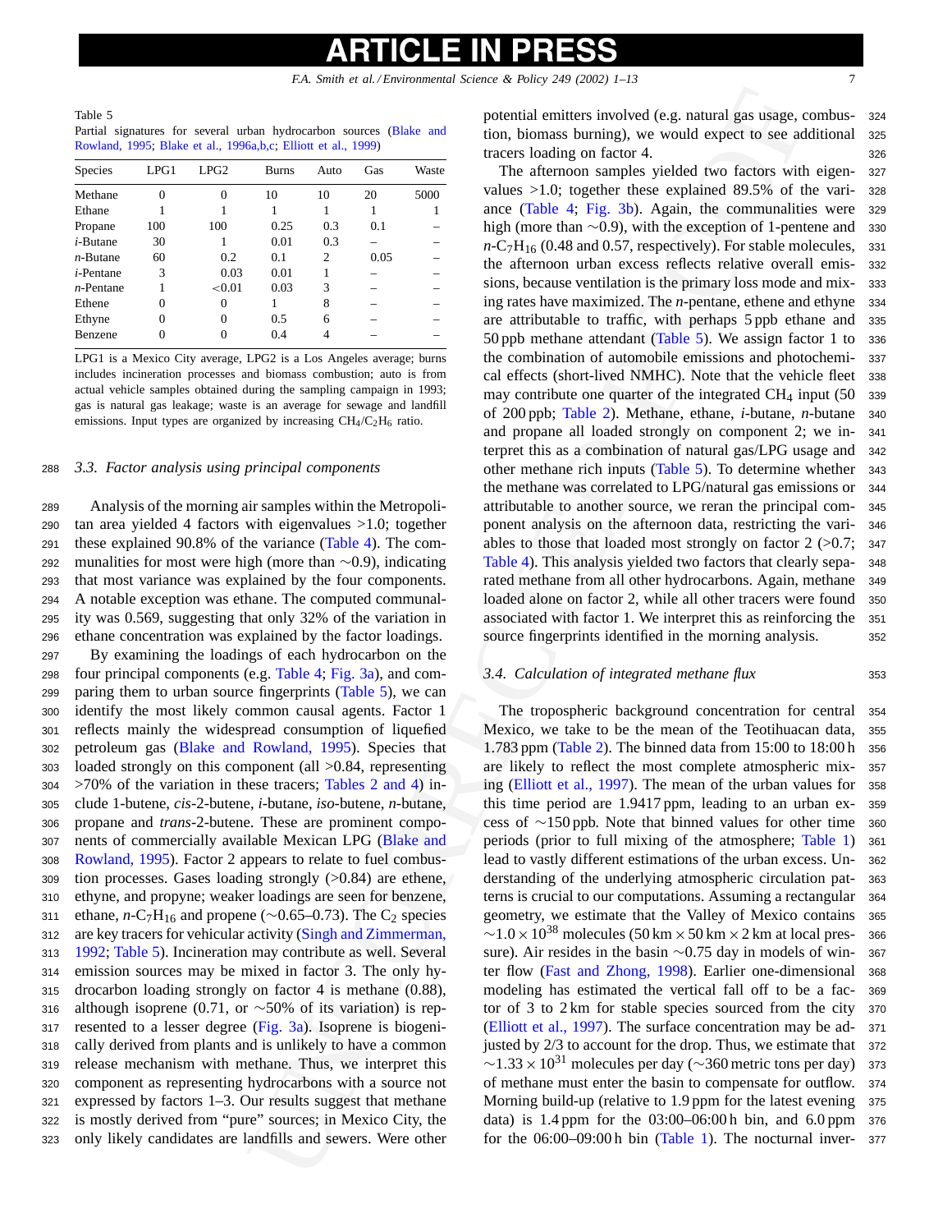<span id="page-6-0"></span>Table 5 Partial signatures for several urban hydrocarbon sources (Blake and [Rowland, 1995;](#page-11-0) [Blake et al., 1996a,b,c;](#page-11-0) Elliott et al., 1999)

| Species           | LPG1 | LPG2      | <b>Burns</b> | Auto           | Gas  | Waste |
|-------------------|------|-----------|--------------|----------------|------|-------|
| Methane           | 0    | 0         | 10           | 10             | 20   | 5000  |
| Ethane            |      |           |              |                |      |       |
| Propane           | 100  | 100       | 0.25         | 0.3            | 0.1  |       |
| $i$ -Butane       | 30   |           | 0.01         | 0.3            |      |       |
| $n$ -Butane       | 60   | 0.2       | 0.1          | $\overline{c}$ | 0.05 |       |
| <i>i</i> -Pentane | 3    | 0.03      | 0.01         |                |      |       |
| $n$ -Pentane      |      | ${<}0.01$ | 0.03         | 3              |      |       |
| Ethene            | 0    | 0         |              | 8              |      |       |
| Ethyne            | 0    | 0         | 0.5          | 6              |      |       |
| Benzene           |      |           | 0.4          |                |      |       |
|                   |      |           |              |                |      |       |

LPG1 is a Mexico City average, LPG2 is a Los Angeles average; burns includes incineration processes and biomass combustion; auto is from actual vehicle samples obtained during the sampling campaign in 1993; gas is natural gas leakage; waste is an average for sewage and landfill emissions. Input types are organized by increasing  $CH_4/C_2H_6$  ratio.

### <sup>288</sup> *3.3. Factor analysis using principal components*

 Analysis of the morning air samples within the Metropoli- tan area yielded 4 factors with eigenvalues >1.0; together these explained 90.8% of the variance (Table 4). The com-292 munalities for most were high (more than  $\sim$ 0.9), indicating that most variance was explained by the four components. that most variance was explained by the four components. A notable exception was ethane. The computed communal- ity was 0.569, suggesting that only 32% of the variation in ethane concentration was explained by the factor loadings.

 By examining the loadings of each hydrocarbon on the four principal components (e.g. Table 4; Fig. 3a), and com- paring them to urban source fingerprints (Table 5), we can identify the most likely common causal agents. Factor 1 reflects mainly the widespread consumption of liquefied petroleum gas [\(Blake and Rowland, 1995](#page-11-0)). Species that loaded strongly on this component (all >0.84, representing >70% of the variation in these tracers; Tables 2 and 4) in- clude 1-butene, *cis*-2-butene, *i*-butane, *iso*-butene, *n*-butane, propane and *trans*-2-butene. These are prominent compo- nents of commercially available Mexican LPG (Blake and [Rowland, 1995\).](#page-11-0) Factor 2 appears to relate to fuel combus- tion processes. Gases loading strongly (>0.84) are ethene, ethyne, and propyne; weaker loadings are seen for benzene, 311 ethane, *n*-C<sub>7</sub>H<sub>16</sub> and propene (∼0.65–0.73). The C<sub>2</sub> species are key tracers for vehicular activity (Singh and Zimmerman, [1992;](#page-12-0) Table 5). Incineration may contribute as well. Several emission sources may be mixed in factor 3. The only hy- drocarbon loading strongly on factor 4 is methane (0.88), although isoprene (0.71, or ∼50% of its variation) is rep- resented to a lesser degree (Fig. 3a). Isoprene is biogeni- cally derived from plants and is unlikely to have a common release mechanism with methane. Thus, we interpret this component as representing hydrocarbons with a source not expressed by factors 1–3. Our results suggest that methane is mostly derived from "pure" sources; in Mexico City, the only likely candidates are landfills and sewers. Were other potential emitters involved (e.g. natural gas usage, combus- <sup>324</sup> tion, biomass burning), we would expect to see additional <sup>325</sup> tracers loading on factor 4. 326

Use by the same of the same of the same of the same of the same of the same of the same of the same of the same of the same of the same of the same of the same of the same of the same of the same of the same of the same o The afternoon samples yielded two factors with eigen- <sup>327</sup> values >1.0; together these explained 89.5% of the vari- <sup>328</sup> ance (Table 4; Fig. 3b). Again, the communalities were <sup>329</sup> high (more than ∼0.9), with the exception of 1-pentene and 330  $n-C_7H_{16}$  (0.48 and 0.57, respectively). For stable molecules, 331  $n - C_7H_{16}$  (0.48 and 0.57, respectively). For stable molecules, the afternoon urban excess reflects relative overall emis- <sup>332</sup> sions, because ventilation is the primary loss mode and mix- <sup>333</sup> ing rates have maximized. The *n*-pentane, ethene and ethyne <sup>334</sup> are attributable to traffic, with perhaps 5 ppb ethane and <sup>335</sup> 50 ppb methane attendant (Table 5). We assign factor 1 to <sup>336</sup> the combination of automobile emissions and photochemi- <sup>337</sup> cal effects (short-lived NMHC). Note that the vehicle fleet <sup>338</sup> may contribute one quarter of the integrated  $CH<sub>4</sub>$  input (50 339) of 200 ppb; Table 2). Methane, ethane, *i*-butane, *n*-butane <sup>340</sup> and propane all loaded strongly on component 2; we in- <sup>341</sup> terpret this as a combination of natural gas/LPG usage and <sup>342</sup> other methane rich inputs (Table 5). To determine whether <sup>343</sup> the methane was correlated to LPG/natural gas emissions or <sup>344</sup> attributable to another source, we reran the principal com- <sup>345</sup> ponent analysis on the afternoon data, restricting the vari- <sup>346</sup> ables to those that loaded most strongly on factor  $2$  ( $>0.7$ ; 347) Table 4). This analysis yielded two factors that clearly sepa- <sup>348</sup> rated methane from all other hydrocarbons. Again, methane <sup>349</sup> loaded alone on factor 2, while all other tracers were found <sup>350</sup> associated with factor 1. We interpret this as reinforcing the <sup>351</sup> source fingerprints identified in the morning analysis. 352

### *3.4. Calculation of integrated methane flux* <sup>353</sup>

The tropospheric background concentration for central <sup>354</sup> Mexico, we take to be the mean of the Teotihuacan data, <sup>355</sup> 1.783 ppm (Table 2). The binned data from 15:00 to 18:00 h <sup>356</sup> are likely to reflect the most complete atmospheric mix- <sup>357</sup> ing (Elliott et al., 1997). The mean of the urban values for <sup>358</sup> this time period are 1.9417 ppm, leading to an urban ex- <sup>359</sup> cess of ∼150 ppb. Note that binned values for other time 360 periods (prior to full mixing of the atmosphere: Table 1) 361 periods (prior to full mixing of the atmosphere; [Table 1\)](#page-3-0) lead to vastly different estimations of the urban excess. Un- <sup>362</sup> derstanding of the underlying atmospheric circulation pat- <sup>363</sup> terns is crucial to our computations. Assuming a rectangular <sup>364</sup> geometry, we estimate that the Valley of Mexico contains <sup>365</sup>  $\sim$ 1.0 × 10<sup>38</sup> molecules (50 km × 50 km × 2 km at local pres- 366 sure). Air resides in the basin ∼0.75 day in models of win- 367 ter flow (Fast and Zhong, 1998). Earlier one-dimensional 368 ter flow (Fast and Zhong, 1998). Earlier one-dimensional modeling has estimated the vertical fall off to be a fac- <sup>369</sup> tor of 3 to 2 km for stable species sourced from the city <sup>370</sup> (Elliott et al., 1997). The surface concentration may be ad- <sup>371</sup> justed by 2/3 to account for the drop. Thus, we estimate that 372  $\sim$ 1.33 × 10<sup>31</sup> molecules per day ( $\sim$ 360 metric tons per day) 373<br>of methane must enter the basin to compensate for outflow. 374 of methane must enter the basin to compensate for outflow. <sup>374</sup> Morning build-up (relative to 1.9 ppm for the latest evening 375 data) is 1.4 ppm for the 03:00–06:00 h bin, and 6.0 ppm <sup>376</sup> for the  $06:00-09:00$  h bin (Table 1). The nocturnal inver- 377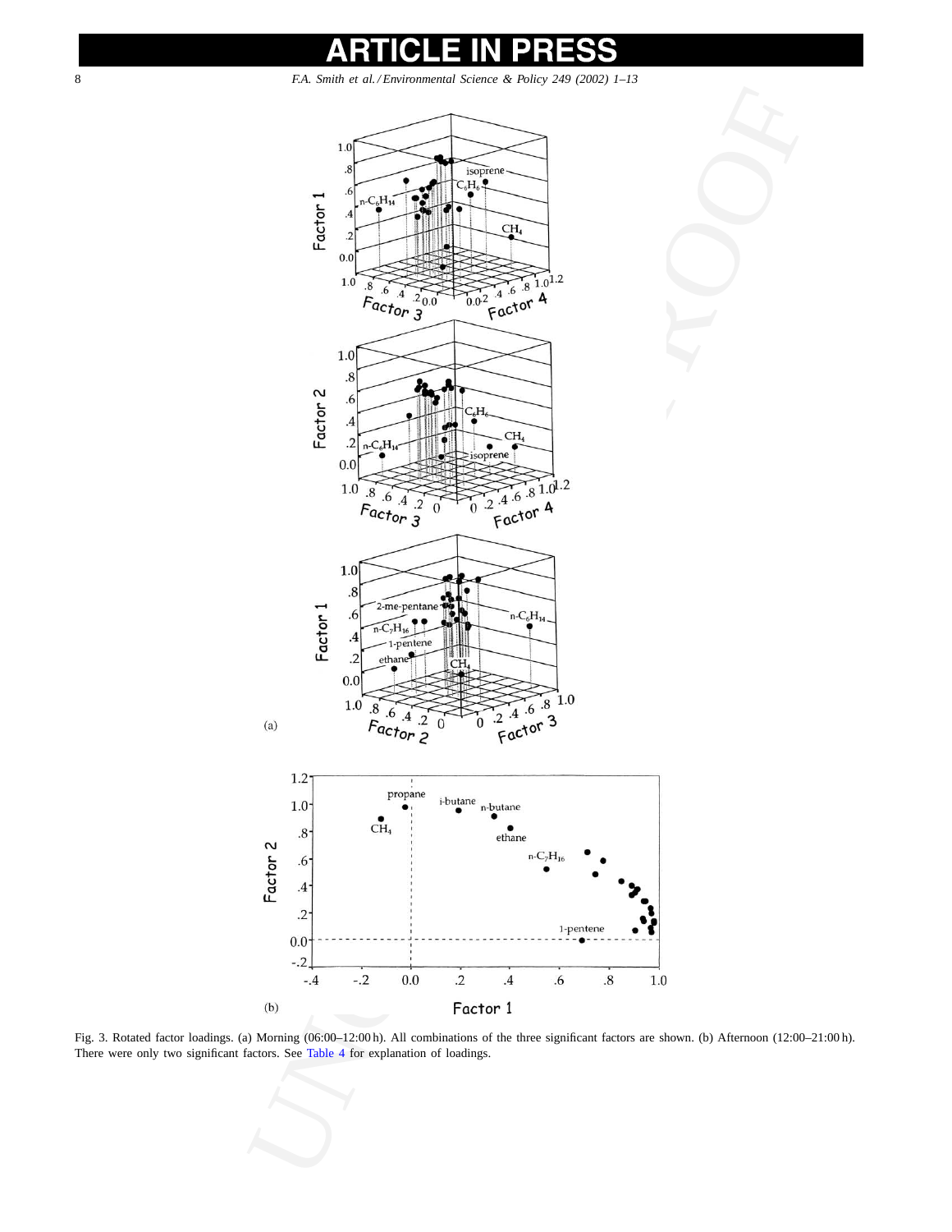<span id="page-7-0"></span>

Fig. 3. Rotated factor loadings. (a) Morning (06:00–12:00 h). All combinations of the three significant factors are shown. (b) Afternoon (12:00–21:00 h). There were only two significant factors. See Table 4 for explanation of loadings.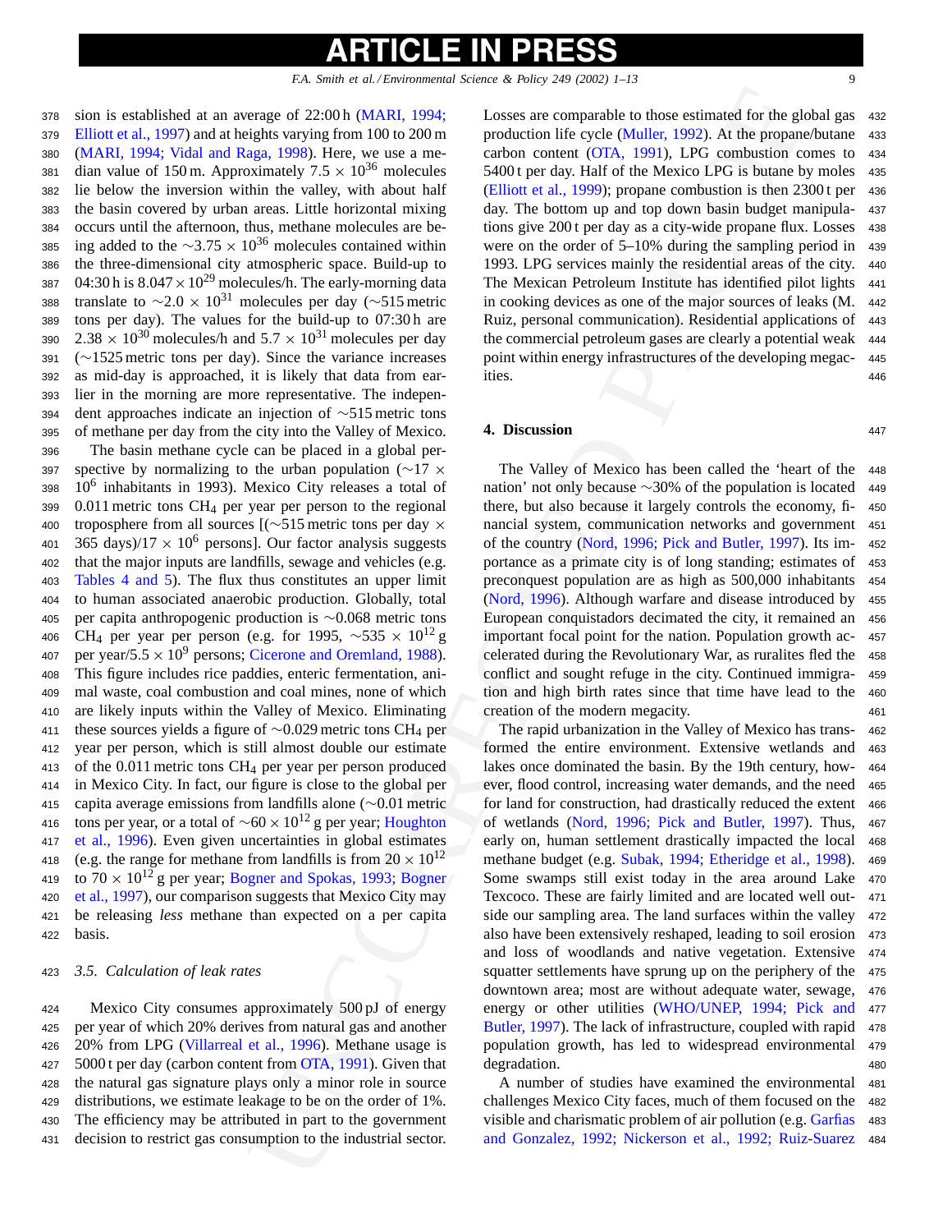sion is established at an average of 22:00 h (MARI, 1994; [Elliott et al., 1997\) a](#page-11-0)nd at heights varying from 100 to 200 m [\(MARI, 1994; Vidal and Raga, 1998\)](#page-11-0). Here, we use a me-381 dian value of 150 m. Approximately  $7.5 \times 10^{36}$  molecules lie below the inversion within the valley, with about half the basin covered by urban areas. Little horizontal mixing occurs until the afternoon, thus, methane molecules are be-385 ing added to the  $\sim$ 3.75 × 10<sup>36</sup> molecules contained within 386 the three-dimensional city atmospheric space. Build-up to the three-dimensional city atmospheric space. Build-up to 387 04:30 h is  $8.047 \times 10^{29}$  molecules/h. The early-morning data translate to  $\sim$ 2.0 × 10<sup>31</sup> molecules per day ( $\sim$ 515 metric 389 tons per day). The values for the build-up to 07:30 h are tons per day). The values for the build-up to  $07:30 h$  are  $2.38 \times 10^{30}$  molecules/h and  $5.7 \times 10^{31}$  molecules per day (∼1525 metric tons per day). Since the variance increases as mid-day is approached, it is likely that data from ear- lier in the morning are more representative. The indepen- dent approaches indicate an injection of ∼515 metric tons of methane per day from the city into the Valley of Mexico.

<sup>396</sup> The basin methane cycle can be placed in a global per-397 spective by normalizing to the urban population (∼17  $\times$  398 10<sup>6</sup> inhabitants in 1993). Mexico City releases a total of  $10<sup>6</sup>$  inhabitants in 1993). Mexico City releases a total of <sup>399</sup> 0.011 metric tons CH4 per year per person to the regional 400 troposphere from all sources [( $\sim$ 515 metric tons per day  $\times$  401 365 days)/17  $\times$  10<sup>6</sup> persons]. Our factor analysis suggests 401 365 days)/17  $\times$  10<sup>6</sup> persons]. Our factor analysis suggests 402 that the major inputs are landfills, sewage and vehicles (e.g. that the major inputs are landfills, sewage and vehicles (e.g. <sup>403</sup> [Tables 4 and 5\)](#page-5-0). The flux thus constitutes an upper limit <sup>404</sup> to human associated anaerobic production. Globally, total <sup>405</sup> per capita anthropogenic production is ∼0.068 metric tons 406 CH<sub>4</sub> per year per person (e.g. for 1995,  $\sim$ 535 × 10<sup>12</sup> g 407 per year/5.5  $\times$  10<sup>9</sup> persons; Cicerone and Oremland, 1988). <sup>408</sup> This figure includes rice paddies, enteric fermentation, ani-<sup>409</sup> mal waste, coal combustion and coal mines, none of which <sup>410</sup> are likely inputs within the Valley of Mexico. Eliminating <sup>411</sup> these sources yields a figure of ∼0.029 metric tons CH4 per <sup>412</sup> year per person, which is still almost double our estimate 413 of the  $0.011$  metric tons CH<sub>4</sub> per year per person produced <sup>414</sup> in Mexico City. In fact, our figure is close to the global per <sup>415</sup> capita average emissions from landfills alone (∼0.01 metric tons per year, or a total of  $\sim 60 \times 10^{12}$  g per year; Houghton 417 et al., 1996). Even given uncertainties in global estimates [et al., 1996\)](#page-11-0). Even given uncertainties in global estimates 418 (e.g. the range for methane from landfills is from  $20 \times 10^{12}$ <br>419 to  $70 \times 10^{12}$  g per year: Bogner and Spokas, 1993; Bogner 419 to  $70 \times 10^{12}$  g per year; [Bogner and Spokas, 1993; Bogner](#page-11-0) 420 et al., 1997), our comparison suggests that Mexico City may [et al., 1997\),](#page-11-0) our comparison suggests that Mexico City may <sup>421</sup> be releasing *less* methane than expected on a per capita <sup>422</sup> basis.

### <sup>423</sup> *3.5. Calculation of leak rates*

 Mexico City consumes approximately 500 pJ of energy per year of which 20% derives from natural gas and another 20% from LPG ([Villarreal et al., 1996\)](#page-12-0). Methane usage is 427 5000 t per day (carbon content from OTA, 1991). Given that the natural gas signature plays only a minor role in source distributions, we estimate leakage to be on the order of 1%. The efficiency may be attributed in part to the government decision to restrict gas consumption to the industrial sector.

Losses are comparable to those estimated for the global gas <sup>432</sup> production life cycle (Muller, 1992). At the propane/butane <sup>433</sup> carbon content (OTA, 1991), LPG combustion comes to <sup>434</sup> 5400 t per day. Half of the Mexico LPG is butane by moles <sup>435</sup> (Elliott et al., 1999); propane combustion is then 2300 t per <sup>436</sup> day. The bottom up and top down basin budget manipula- <sup>437</sup> tions give 200 t per day as a city-wide propane flux. Losses <sup>438</sup> were on the order of 5–10% during the sampling period in <sup>439</sup> 1993. LPG services mainly the residential areas of the city. <sup>440</sup> The Mexican Petroleum Institute has identified pilot lights <sup>441</sup> in cooking devices as one of the major sources of leaks (M. <sup>442</sup> Ruiz, personal communication). Residential applications of <sup>443</sup> the commercial petroleum gases are clearly a potential weak 444 point within energy infrastructures of the developing megac- <sup>445</sup> ities. <sup>446</sup>

### **4. Discussion** 447

The Valley of Mexico has been called the 'heart of the <sup>448</sup> nation' not only because ∼30% of the population is located 449 there, but also because it largely controls the economy, fi- 450 there, but also because it largely controls the economy, financial system, communication networks and government <sup>451</sup> of the country (Nord, 1996; Pick and Butler, 1997). Its im- <sup>452</sup> portance as a primate city is of long standing; estimates of <sup>453</sup> preconquest population are as high as 500,000 inhabitants <sup>454</sup> (Nord, 1996). Although warfare and disease introduced by <sup>455</sup> European conquistadors decimated the city, it remained an <sup>456</sup> important focal point for the nation. Population growth ac- <sup>457</sup> celerated during the Revolutionary War, as ruralites fled the <sup>458</sup> conflict and sought refuge in the city. Continued immigra- <sup>459</sup> tion and high birth rates since that time have lead to the <sup>460</sup> creation of the modern megacity. 461

erage of 22:00 h (MARI, 1994;<br>
Howes are comparable to those stringted for the grapset)<br>
right various production in fit cycle (MARI), 1992). A the proposerious<br>
system (for 1000 a) the mass of the mass of the fit cycle ( The rapid urbanization in the Valley of Mexico has trans- <sup>462</sup> formed the entire environment. Extensive wetlands and <sup>463</sup> lakes once dominated the basin. By the 19th century, how- <sup>464</sup> ever, flood control, increasing water demands, and the need <sup>465</sup> for land for construction, had drastically reduced the extent <sup>466</sup> of wetlands (Nord, 1996; Pick and Butler, 1997). Thus, <sup>467</sup> early on, human settlement drastically impacted the local <sup>468</sup> methane budget (e.g. [Subak, 1994; Etheridge et al., 1998\).](#page-12-0) <sup>469</sup> Some swamps still exist today in the area around Lake <sup>470</sup> Texcoco. These are fairly limited and are located well out- <sup>471</sup> side our sampling area. The land surfaces within the valley <sup>472</sup> also have been extensively reshaped, leading to soil erosion <sup>473</sup> and loss of woodlands and native vegetation. Extensive <sup>474</sup> squatter settlements have sprung up on the periphery of the 475 downtown area; most are without adequate water, sewage, <sup>476</sup> energy or other utilities ([WHO/UNEP, 1994; Pick and](#page-12-0) 477 Butler, 1997). The lack of infrastructure, coupled with rapid <sup>478</sup> population growth, has led to widespread environmental <sup>479</sup> degradation. 480

A number of studies have examined the environmental <sup>481</sup> challenges Mexico City faces, much of them focused on the <sup>482</sup> visible and charismatic problem of air pollution (e.g. [Garfias](#page-11-0) 483) [and Gonzalez, 1992; Nickerson et al., 1992; Ruiz-Suarez](#page-11-0) <sup>484</sup>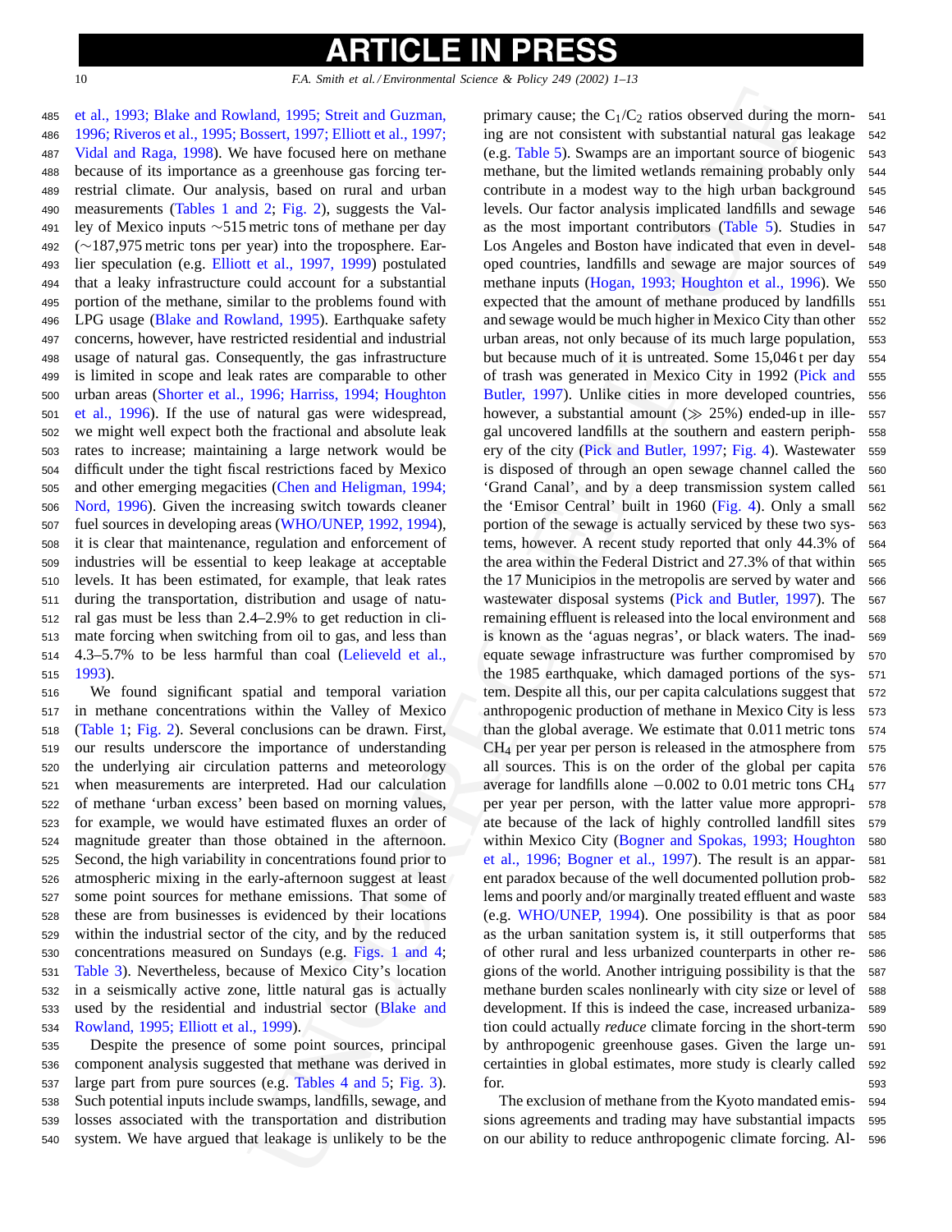### **ICLE IN** PRE

### 10 *F.A. Smith et al. / Environmental Science & Policy 249 (2002) 1–13*

 [et al., 1993; Blake and Rowland, 1995; Streit and Guzman,](#page-11-0) [1996; Riveros et al., 1995; Bossert, 1997; Elliott et al., 1997;](#page-11-0) [Vidal and Raga, 1998\).](#page-11-0) We have focused here on methane because of its importance as a greenhouse gas forcing ter- restrial climate. Our analysis, based on rural and urban measurements [\(Tables 1 and 2;](#page-3-0) Fig. 2), suggests the Val-491 ley of Mexico inputs ∼515 metric tons of methane per day<br>492 (∼187.975 metric tons per vear) into the troposphere. Ear-492 (∼187,975 metric tons per year) into the troposphere. Ear-<br>493 lier speculation (e.g. Elliott et al., 1997, 1999) postulated lier speculation (e.g. [Elliott et al., 1997, 1999\)](#page-11-0) postulated that a leaky infrastructure could account for a substantial portion of the methane, similar to the problems found with LPG usage ([Blake and Rowland, 1995\).](#page-11-0) Earthquake safety concerns, however, have restricted residential and industrial usage of natural gas. Consequently, the gas infrastructure is limited in scope and leak rates are comparable to other urban areas [\(Shorter et al., 1996; Harriss, 1994; Houghton](#page-12-0) [et al., 1996\)](#page-12-0). If the use of natural gas were widespread, we might well expect both the fractional and absolute leak rates to increase; maintaining a large network would be difficult under the tight fiscal restrictions faced by Mexico and other emerging megacities (Chen and Heligman, 1994; [Nord, 1996\).](#page-11-0) Given the increasing switch towards cleaner fuel sources in developing areas (WHO/UNEP, 1992, 1994), it is clear that maintenance, regulation and enforcement of industries will be essential to keep leakage at acceptable levels. It has been estimated, for example, that leak rates during the transportation, distribution and usage of natu- ral gas must be less than 2.4–2.9% to get reduction in cli- mate forcing when switching from oil to gas, and less than 4.3–5.7% to be less harmful than coal (Lelieveld et al., <sup>515</sup> [1993\).](#page-11-0)

 We found significant spatial and temporal variation in methane concentrations within the Valley of Mexico [\(Table 1;](#page-3-0) [Fig. 2\).](#page-3-0) Several conclusions can be drawn. First, our results underscore the importance of understanding the underlying air circulation patterns and meteorology when measurements are interpreted. Had our calculation of methane 'urban excess' been based on morning values, for example, we would have estimated fluxes an order of magnitude greater than those obtained in the afternoon. Second, the high variability in concentrations found prior to atmospheric mixing in the early-afternoon suggest at least some point sources for methane emissions. That some of these are from businesses is evidenced by their locations within the industrial sector of the city, and by the reduced concentrations measured on Sundays (e.g. Figs. 1 and 4; [Table 3\).](#page-4-0) Nevertheless, because of Mexico City's location in a seismically active zone, little natural gas is actually used by the residential and industrial sector (Blake and [Rowland, 1995; Elliott et al., 1999\).](#page-11-0)

 Despite the presence of some point sources, principal component analysis suggested that methane was derived in large part from pure sources (e.g. Tables 4 and 5; Fig. 3). Such potential inputs include swamps, landfills, sewage, and losses associated with the transportation and distribution system. We have argued that leakage is unlikely to be the

Jand, 1995; Siveri and Gorman,<br>
Jand, 1995; Siveri and Gorman, primary cause the C<sub>1</sub>(C<sub>2</sub> ratios observed during the<br>
have frequencies gas for the simulation of the simulation and the simulation and the simulation and<br>
i primary cause; the  $C_1/C_2$  ratios observed during the morn- 541 ing are not consistent with substantial natural gas leakage <sup>542</sup> (e.g. Table 5). Swamps are an important source of biogenic <sup>543</sup> methane, but the limited wetlands remaining probably only <sup>544</sup> contribute in a modest way to the high urban background <sup>545</sup> levels. Our factor analysis implicated landfills and sewage <sup>546</sup> as the most important contributors (Table 5). Studies in <sup>547</sup> Los Angeles and Boston have indicated that even in devel- <sup>548</sup> oped countries, landfills and sewage are major sources of <sup>549</sup> methane inputs ([Hogan, 1993; Houghton et al., 1996\)](#page-11-0). We <sup>550</sup> expected that the amount of methane produced by landfills 551 and sewage would be much higher in Mexico City than other 552 urban areas, not only because of its much large population, <sup>553</sup> but because much of it is untreated. Some 15,046 t per day <sup>554</sup> of trash was generated in Mexico City in 1992 [\(Pick and](#page-12-0) <sup>555</sup> Butler, 1997). Unlike cities in more developed countries, <sup>556</sup> however, a substantial amount  $(\gg 25\%)$  ended-up in ille- 557 gal uncovered landfills at the southern and eastern periphgal uncovered landfills at the southern and eastern periphery of the city (Pick and Butler, 1997; Fig. 4). Wastewater <sup>559</sup> is disposed of through an open sewage channel called the <sup>560</sup> 'Grand Canal', and by a deep transmission system called <sup>561</sup> the 'Emisor Central' built in 1960 (Fig. 4). Only a small <sup>562</sup> portion of the sewage is actually serviced by these two sys- <sup>563</sup> tems, however. A recent study reported that only 44.3% of <sup>564</sup> the area within the Federal District and 27.3% of that within <sup>565</sup> the 17 Municipios in the metropolis are served by water and <sup>566</sup> wastewater disposal systems ([Pick and Butler, 1997\)](#page-12-0). The 567 remaining effluent is released into the local environment and <sup>568</sup> is known as the 'aguas negras', or black waters. The inad- <sup>569</sup> equate sewage infrastructure was further compromised by <sup>570</sup> the 1985 earthquake, which damaged portions of the sys- <sup>571</sup> tem. Despite all this, our per capita calculations suggest that <sup>572</sup> anthropogenic production of methane in Mexico City is less 573 than the global average. We estimate that 0.011 metric tons <sup>574</sup> CH4 per year per person is released in the atmosphere from <sup>575</sup> all sources. This is on the order of the global per capita <sup>576</sup> average for landfills alone  $-0.002$  to 0.01 metric tons CH<sub>4</sub> 577 per vear per person, with the latter value more appropri-578 per year per person, with the latter value more appropriate because of the lack of highly controlled landfill sites <sup>579</sup> within Mexico City [\(Bogner and Spokas, 1993; Houghton](#page-11-0) 580 et al., 1996; Bogner et al., 1997). The result is an appar- <sup>581</sup> ent paradox because of the well documented pollution prob- <sup>582</sup> lems and poorly and/or marginally treated effluent and waste <sup>583</sup> (e.g. WHO/UNEP, 1994). One possibility is that as poor <sup>584</sup> as the urban sanitation system is, it still outperforms that <sup>585</sup> of other rural and less urbanized counterparts in other re- <sup>586</sup> gions of the world. Another intriguing possibility is that the <sup>587</sup> methane burden scales nonlinearly with city size or level of <sup>588</sup> development. If this is indeed the case, increased urbaniza- <sup>589</sup> tion could actually *reduce* climate forcing in the short-term <sup>590</sup> by anthropogenic greenhouse gases. Given the large un- <sup>591</sup> certainties in global estimates, more study is clearly called <sup>592</sup>  $\int$  for. 593

The exclusion of methane from the Kyoto mandated emis- <sup>594</sup> sions agreements and trading may have substantial impacts 595 on our ability to reduce anthropogenic climate forcing. Al- <sup>596</sup>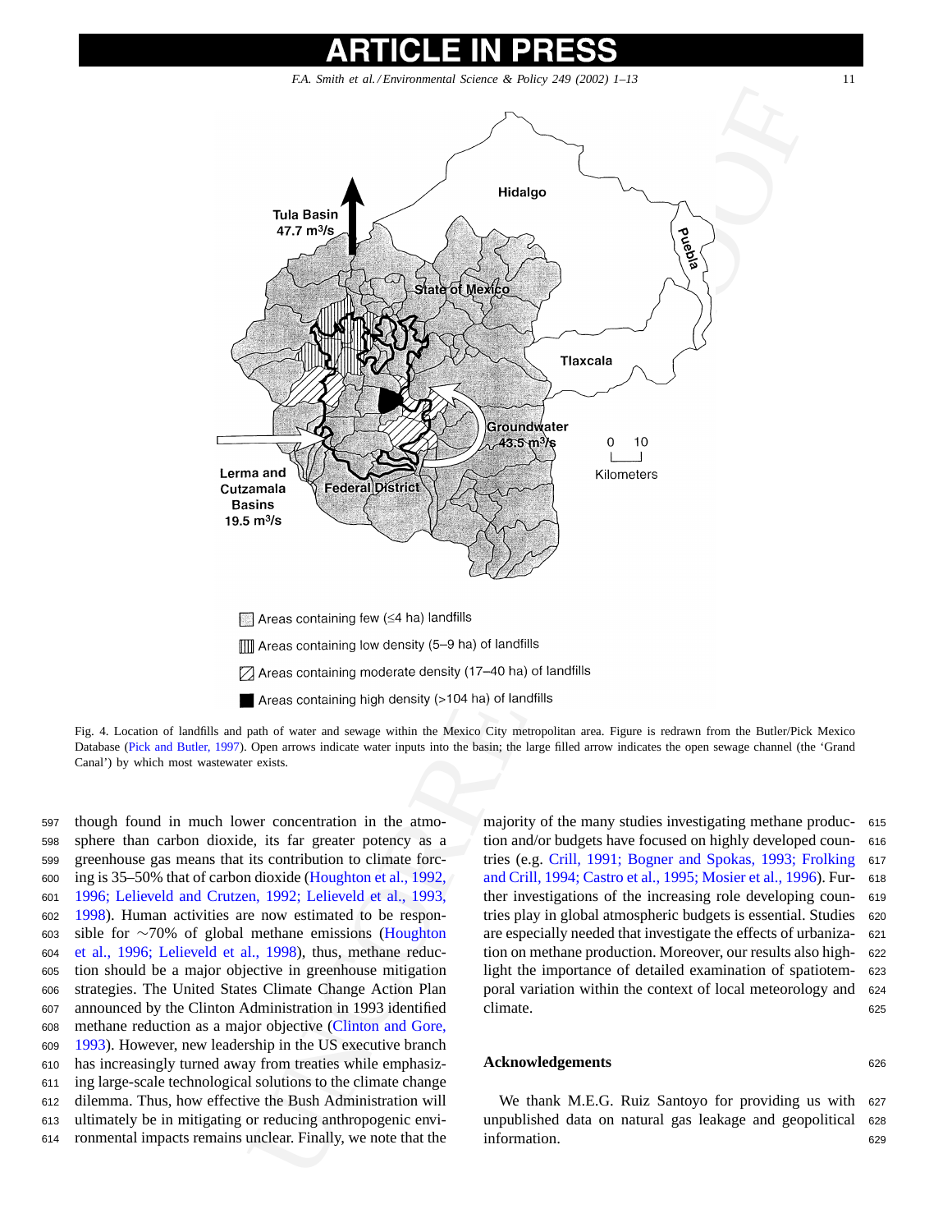<span id="page-10-0"></span>

Fig. 4. Location of landfills and path of water and sewage within the Mexico City metropolitan area. Figure is redrawn from the Butler/Pick Mexico Database ([Pick and Butler, 1997\).](#page-12-0) Open arrows indicate water inputs into the basin; the large filled arrow indicates the open sewage channel (the 'Grand Canal') by which most wastewater exists.

 though found in much lower concentration in the atmo- sphere than carbon dioxide, its far greater potency as a greenhouse gas means that its contribution to climate forc- ing is 35–50% that of carbon dioxide (Houghton et al., 1992, [1996; Lelieveld and Crutzen, 1992; Lelieveld et al., 1993,](#page-11-0) [1998\).](#page-11-0) Human activities are now estimated to be respon-603 sible for  $\sim$ 70% of global methane emissions (Houghton 604 et al., 1996; Lelieveld et al., 1998), thus, methane reduc[et al., 1996; Lelieveld et al., 1998](#page-11-0)), thus, methane reduc- tion should be a major objective in greenhouse mitigation strategies. The United States Climate Change Action Plan announced by the Clinton Administration in 1993 identified methane reduction as a major objective (Clinton and Gore, [1993\).](#page-11-0) However, new leadership in the US executive branch has increasingly turned away from treaties while emphasiz- ing large-scale technological solutions to the climate change dilemma. Thus, how effective the Bush Administration will ultimately be in mitigating or reducing anthropogenic envi-ronmental impacts remains unclear. Finally, we note that the majority of the many studies investigating methane produc- <sup>615</sup> tion and/or budgets have focused on highly developed coun- <sup>616</sup> tries (e.g. [Crill, 1991; Bogner and Spokas, 1993; Frolking](#page-11-0) <sup>617</sup> [and Crill, 1994; Castro et al., 1995; Mosier et al., 1996\). Fu](#page-11-0)r- <sup>618</sup> ther investigations of the increasing role developing coun- <sup>619</sup> tries play in global atmospheric budgets is essential. Studies <sup>620</sup> are especially needed that investigate the effects of urbaniza- <sup>621</sup> tion on methane production. Moreover, our results also high- <sup>622</sup> light the importance of detailed examination of spatiotem- <sup>623</sup> poral variation within the context of local meteorology and <sup>624</sup> climate. 625

### **Acknowledgements** <sup>626</sup>

We thank M.E.G. Ruiz Santoyo for providing us with <sup>627</sup> unpublished data on natural gas leakage and geopolitical <sup>628</sup> information. 629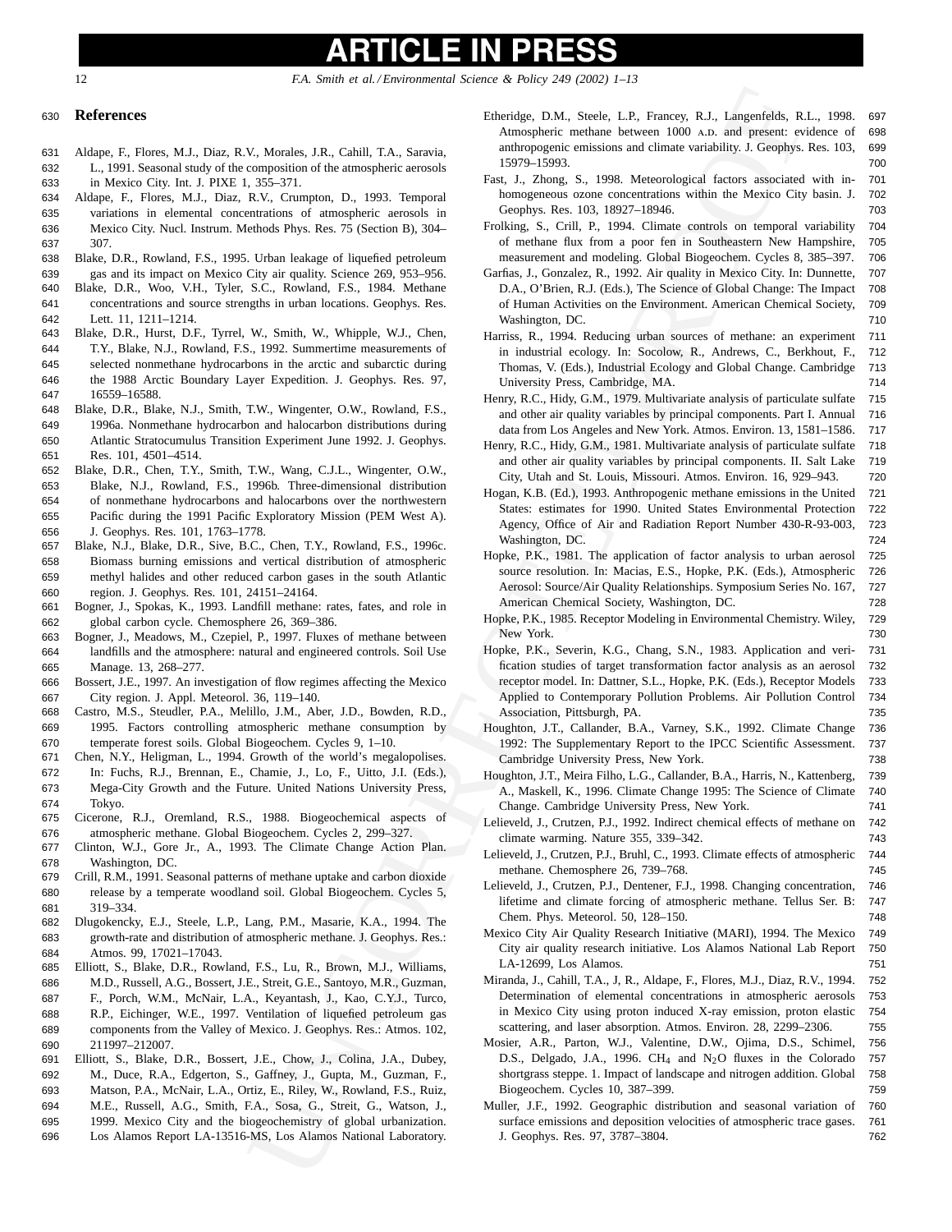### PR LE IN

<span id="page-11-0"></span>12 *F.A. Smith et al. / Environmental Science & Policy 249 (2002) 1–13*

### <sup>630</sup> **References**

- 631 Aldape, F., Flores, M.J., Diaz, R.V., Morales, J.R., Cahill, T.A., Saravia, 632 L., 1991. Seasonal study of the composition of the atmospheric aerosols 633 in Mexico City. Int. J. PIXE 1, 355–371.
- 634 Aldape, F., Flores, M.J., Diaz, R.V., Crumpton, D., 1993. Temporal 635 variations in elemental concentrations of atmospheric aerosols in 636 Mexico City. Nucl. Instrum. Methods Phys. Res. 75 (Section B), 304– 637 307.
- 638 Blake, D.R., Rowland, F.S., 1995. Urban leakage of liquefied petroleum 639 gas and its impact on Mexico City air quality. Science 269, 953–956.
- 640 Blake, D.R., Woo, V.H., Tyler, S.C., Rowland, F.S., 1984. Methane 641 concentrations and source strengths in urban locations. Geophys. Res. 642 Lett. 11, 1211–1214.
- 643 Blake, D.R., Hurst, D.F., Tyrrel, W., Smith, W., Whipple, W.J., Chen, 644 T.Y., Blake, N.J., Rowland, F.S., 1992. Summertime measurements of 645 selected nonmethane hydrocarbons in the arctic and subarctic during 646 the 1988 Arctic Boundary Layer Expedition. J. Geophys. Res. 97, 647 16559–16588.
- 648 Blake, D.R., Blake, N.J., Smith, T.W., Wingenter, O.W., Rowland, F.S., 649 1996a. Nonmethane hydrocarbon and halocarbon distributions during 650 Atlantic Stratocumulus Transition Experiment June 1992. J. Geophys. 651 Res. 101, 4501–4514.
- 652 Blake, D.R., Chen, T.Y., Smith, T.W., Wang, C.J.L., Wingenter, O.W., 653 Blake, N.J., Rowland, F.S., 1996b. Three-dimensional distribution 654 of nonmethane hydrocarbons and halocarbons over the northwestern 655 Pacific during the 1991 Pacific Exploratory Mission (PEM West A). 656 J. Geophys. Res. 101, 1763–1778.
- 657 Blake, N.J., Blake, D.R., Sive, B.C., Chen, T.Y., Rowland, F.S., 1996c. 658 Biomass burning emissions and vertical distribution of atmospheric 659 methyl halides and other reduced carbon gases in the south Atlantic 660 region. J. Geophys. Res. 101, 24151–24164.
- 661 Bogner, J., Spokas, K., 1993. Landfill methane: rates, fates, and role in 662 global carbon cycle. Chemosphere 26, 369–386.
- 663 Bogner, J., Meadows, M., Czepiel, P., 1997. Fluxes of methane between 664 landfills and the atmosphere: natural and engineered controls. Soil Use 665 Manage. 13, 268–277.
- 666 Bossert, J.E., 1997. An investigation of flow regimes affecting the Mexico 667 City region. J. Appl. Meteorol. 36, 119–140.
- 668 Castro, M.S., Steudler, P.A., Melillo, J.M., Aber, J.D., Bowden, R.D., 669 1995. Factors controlling atmospheric methane consumption by 670 temperate forest soils. Global Biogeochem. Cycles 9, 1–10.
- 671 Chen, N.Y., Heligman, L., 1994. Growth of the world's megalopolises. 672 In: Fuchs, R.J., Brennan, E., Chamie, J., Lo, F., Uitto, J.I. (Eds.), 673 Mega-City Growth and the Future. United Nations University Press, 674 Tokyo.
- 675 Cicerone, R.J., Oremland, R.S., 1988. Biogeochemical aspects of 676 atmospheric methane. Global Biogeochem. Cycles 2, 299–327.
- 677 Clinton, W.J., Gore Jr., A., 1993. The Climate Change Action Plan. 678 Washington, DC.
- 679 Crill, R.M., 1991. Seasonal patterns of methane uptake and carbon dioxide 680 release by a temperate woodland soil. Global Biogeochem. Cycles 5, 681 319–334.
- 682 Dlugokencky, E.J., Steele, L.P., Lang, P.M., Masarie, K.A., 1994. The 683 growth-rate and distribution of atmospheric methane. J. Geophys. Res.: 684 Atmos. 99, 17021–17043.
- 685 Elliott, S., Blake, D.R., Rowland, F.S., Lu, R., Brown, M.J., Williams, 686 M.D., Russell, A.G., Bossert, J.E., Streit, G.E., Santoyo, M.R., Guzman, 687 F., Porch, W.M., McNair, L.A., Keyantash, J., Kao, C.Y.J., Turco, 688 R.P., Eichinger, W.E., 1997. Ventilation of liquefied petroleum gas 689 components from the Valley of Mexico. J. Geophys. Res.: Atmos. 102, 690 211997–212007.
- 691 Elliott, S., Blake, D.R., Bossert, J.E., Chow, J., Colina, J.A., Dubey, 692 M., Duce, R.A., Edgerton, S., Gaffney, J., Gupta, M., Guzman, F., 693 Matson, P.A., McNair, L.A., Ortiz, E., Riley, W., Rowland, F.S., Ruiz, 694 M.E., Russell, A.G., Smith, F.A., Sosa, G., Streit, G., Watson, J., 695 1999. Mexico City and the biogeochemistry of global urbanization.
- 696 Los Alamos Report LA-13516-MS, Los Alamos National Laboratory.
- Etheridge, D.M., Steele, L.P., Francey, R.J., Langenfelds, R.L., 1998. 697 Atmospheric methane between 1000 A.D. and present: evidence of 698 anthropogenic emissions and climate variability. J. Geophys. Res. 103, 699 15979–15993. 700
- Fast, J., Zhong, S., 1998. Meteorological factors associated with in- 701 homogeneous ozone concentrations within the Mexico City basin. J. 702 Geophys. Res. 103, 18927–18946. 703
- Frolking, S., Crill, P., 1994. Climate controls on temporal variability 704 of methane flux from a poor fen in Southeastern New Hampshire, 705 measurement and modeling. Global Biogeochem. Cycles 8, 385–397. 706
- Garfias, J., Gonzalez, R., 1992. Air quality in Mexico City. In: Dunnette, 707 D.A., O'Brien, R.J. (Eds.), The Science of Global Change: The Impact 708 of Human Activities on the Environment. American Chemical Society, 709 Washington, DC. 710
- Harriss, R., 1994. Reducing urban sources of methane: an experiment 711 in industrial ecology. In: Socolow, R., Andrews, C., Berkhout, F., 712 Thomas, V. (Eds.), Industrial Ecology and Global Change. Cambridge 713 University Press, Cambridge, MA. 714
- Henry, R.C., Hidy, G.M., 1979. Multivariate analysis of particulate sulfate 715 and other air quality variables by principal components. Part I. Annual 716 data from Los Angeles and New York. Atmos. Environ. 13, 1581–1586. 717
- Henry, R.C., Hidy, G.M., 1981. Multivariate analysis of particulate sulfate 718 and other air quality variables by principal components. II. Salt Lake 719 City, Utah and St. Louis, Missouri. Atmos. Environ. 16, 929–943. 720
- Hogan, K.B. (Ed.), 1993. Anthropogenic methane emissions in the United 721 States: estimates for 1990. United States Environmental Protection 722 Agency, Office of Air and Radiation Report Number 430-R-93-003, 723 Washington, DC. 224
- Hopke, P.K., 1981. The application of factor analysis to urban aerosol 725 source resolution. In: Macias, E.S., Hopke, P.K. (Eds.), Atmospheric 726 Aerosol: Source/Air Quality Relationships. Symposium Series No. 167, 727 American Chemical Society, Washington, DC. 728
- Hopke, P.K., 1985. Receptor Modeling in Environmental Chemistry. Wiley, 729 New York. 730
- V. Moreov, 13., Collin TA., Smooth (18., 19., North 19., North 19., North 19., North 19., North 19. (19., North 19. (19., North 19. (19., North 19. (19., North 19. (19., North 19. (19., North 19. (19., North 19. (19., Nor Hopke, P.K., Severin, K.G., Chang, S.N., 1983. Application and veri- 731 fication studies of target transformation factor analysis as an aerosol 732 receptor model. In: Dattner, S.L., Hopke, P.K. (Eds.), Receptor Models 733 Applied to Contemporary Pollution Problems. Air Pollution Control 734 Association, Pittsburgh, PA. 735
	- Houghton, J.T., Callander, B.A., Varney, S.K., 1992. Climate Change 736 1992: The Supplementary Report to the IPCC Scientific Assessment. 737 Cambridge University Press, New York. 738
	- Houghton, J.T., Meira Filho, L.G., Callander, B.A., Harris, N., Kattenberg, 739 A., Maskell, K., 1996. Climate Change 1995: The Science of Climate 740 Change. Cambridge University Press, New York. 741
	- Lelieveld, J., Crutzen, P.J., 1992. Indirect chemical effects of methane on 742 climate warming. Nature 355, 339–342. 743
	- Lelieveld, J., Crutzen, P.J., Bruhl, C., 1993. Climate effects of atmospheric 744 methane. Chemosphere 26, 739–768. 745
	- Lelieveld, J., Crutzen, P.J., Dentener, F.J., 1998. Changing concentration, 746 lifetime and climate forcing of atmospheric methane. Tellus Ser. B: 747 Chem. Phys. Meteorol. 50, 128–150. 748
	- Mexico City Air Quality Research Initiative (MARI), 1994. The Mexico 749 City air quality research initiative. Los Alamos National Lab Report 750 LA-12699, Los Alamos. 751
	- Miranda, J., Cahill, T.A., J, R., Aldape, F., Flores, M.J., Diaz, R.V., 1994. 752 Determination of elemental concentrations in atmospheric aerosols 753 in Mexico City using proton induced X-ray emission, proton elastic 754 scattering, and laser absorption. Atmos. Environ. 28, 2299–2306. 755
	- Mosier, A.R., Parton, W.J., Valentine, D.W., Ojima, D.S., Schimel, 756 D.S., Delgado, J.A., 1996. CH<sub>4</sub> and N<sub>2</sub>O fluxes in the Colorado 757 shortgrass steppe. 1. Impact of landscape and nitrogen addition. Global 758 Biogeochem. Cycles 10, 387–399. 759
	- Muller, J.F., 1992. Geographic distribution and seasonal variation of 760 surface emissions and deposition velocities of atmospheric trace gases. 761 J. Geophys. Res. 97, 3787–3804. 762